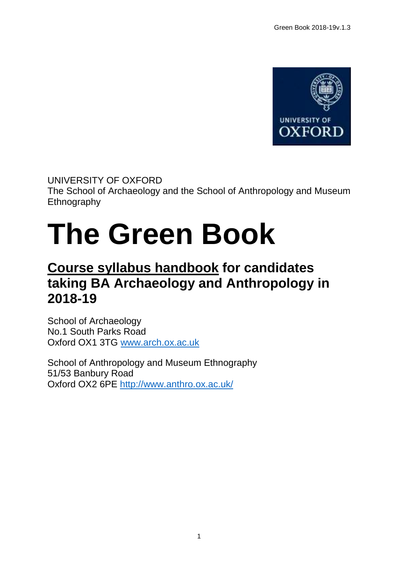

UNIVERSITY OF OXFORD The School of Archaeology and the School of Anthropology and Museum **Ethnography** 

# **The Green Book**

# **Course syllabus handbook for candidates taking BA Archaeology and Anthropology in 2018-19**

School of Archaeology No.1 South Parks Road Oxford OX1 3TG [www.arch.ox.ac.uk](http://www.arch.ox.ac.uk/)

School of Anthropology and Museum Ethnography 51/53 Banbury Road Oxford OX2 6PE<http://www.anthro.ox.ac.uk/>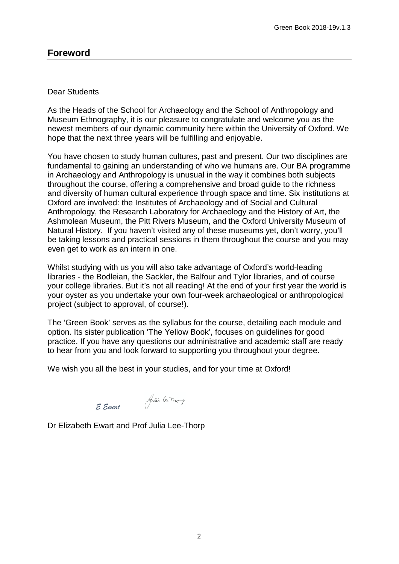#### Dear Students

As the Heads of the School for Archaeology and the School of Anthropology and Museum Ethnography, it is our pleasure to congratulate and welcome you as the newest members of our dynamic community here within the University of Oxford. We hope that the next three years will be fulfilling and enjoyable.

You have chosen to study human cultures, past and present. Our two disciplines are fundamental to gaining an understanding of who we humans are. Our BA programme in Archaeology and Anthropology is unusual in the way it combines both subjects throughout the course, offering a comprehensive and broad guide to the richness and diversity of human cultural experience through space and time. Six institutions at Oxford are involved: the Institutes of Archaeology and of Social and Cultural Anthropology, the Research Laboratory for Archaeology and the History of Art, the Ashmolean Museum, the Pitt Rivers Museum, and the Oxford University Museum of Natural History. If you haven't visited any of these museums yet, don't worry, you'll be taking lessons and practical sessions in them throughout the course and you may even get to work as an intern in one.

Whilst studying with us you will also take advantage of Oxford's world-leading libraries - the Bodleian, the Sackler, the Balfour and Tylor libraries, and of course your college libraries. But it's not all reading! At the end of your first year the world is your oyster as you undertake your own four-week archaeological or anthropological project (subject to approval, of course!).

The 'Green Book' serves as the syllabus for the course, detailing each module and option. Its sister publication 'The Yellow Book', focuses on guidelines for good practice. If you have any questions our administrative and academic staff are ready to hear from you and look forward to supporting you throughout your degree.

We wish you all the best in your studies, and for your time at Oxford!

*E Ewart* 

Dr Elizabeth Ewart and Prof Julia Lee-Thorp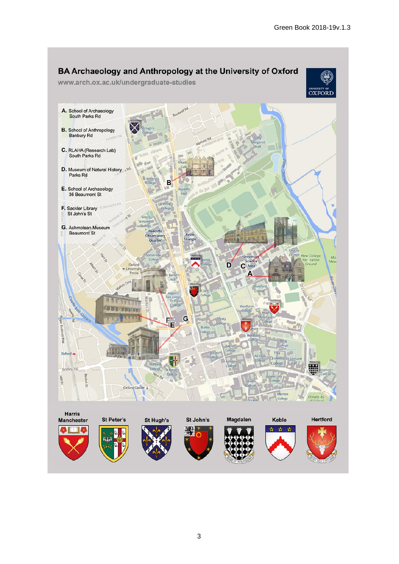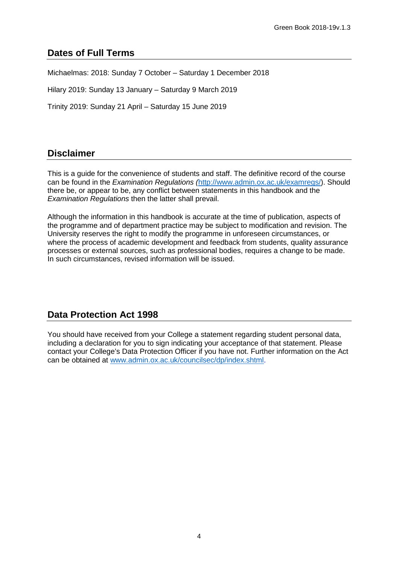# **Dates of Full Terms**

Michaelmas: 2018: Sunday 7 October – Saturday 1 December 2018

Hilary 2019: Sunday 13 January – Saturday 9 March 2019

Trinity 2019: Sunday 21 April – Saturday 15 June 2019

# **Disclaimer**

This is a guide for the convenience of students and staff. The definitive record of the course can be found in the *Examination Regulations (*[http://www.admin.ox.ac.uk/examregs/\)](http://www.admin.ox.ac.uk/examregs/). Should there be, or appear to be, any conflict between statements in this handbook and the *Examination Regulations* then the latter shall prevail.

Although the information in this handbook is accurate at the time of publication, aspects of the programme and of department practice may be subject to modification and revision. The University reserves the right to modify the programme in unforeseen circumstances, or where the process of academic development and feedback from students, quality assurance processes or external sources, such as professional bodies, requires a change to be made. In such circumstances, revised information will be issued.

# **Data Protection Act 1998**

You should have received from your College a statement regarding student personal data, including a declaration for you to sign indicating your acceptance of that statement. Please contact your College's Data Protection Officer if you have not. Further information on the Act can be obtained at [www.admin.ox.ac.uk/councilsec/dp/index.shtml.](http://www.admin.ox.ac.uk/councilsec/dp/index.shtml)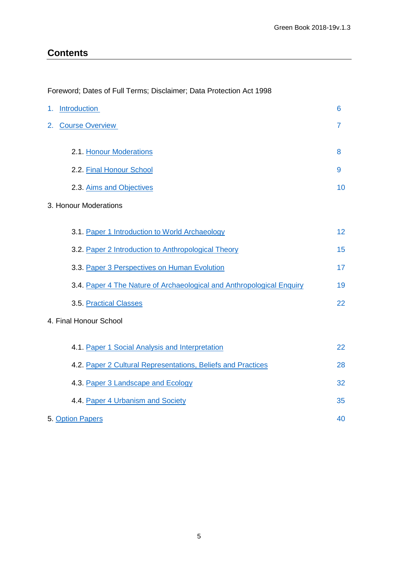# <span id="page-4-0"></span>**Contents**

#### Foreword; Dates of Full Terms; Disclaimer; Data Protection Act 1998

| <u>Introduction</u><br>1.                                             | 6              |
|-----------------------------------------------------------------------|----------------|
| 2.<br><b>Course Overview</b>                                          | $\overline{7}$ |
|                                                                       |                |
| 2.1. Honour Moderations                                               | 8              |
| 2.2. Final Honour School                                              | 9              |
| 2.3. Aims and Objectives                                              | 10             |
| 3. Honour Moderations                                                 |                |
| 3.1. Paper 1 Introduction to World Archaeology                        | 12             |
| 3.2. Paper 2 Introduction to Anthropological Theory                   | 15             |
| 3.3. Paper 3 Perspectives on Human Evolution                          | 17             |
| 3.4. Paper 4 The Nature of Archaeological and Anthropological Enquiry | 19             |
| 3.5. Practical Classes                                                | 22             |
| 4. Final Honour School                                                |                |
| 4.1. Paper 1 Social Analysis and Interpretation                       | 22             |
| 4.2. Paper 2 Cultural Representations, Beliefs and Practices          | 28             |
| 4.3. Paper 3 Landscape and Ecology                                    | 32             |
| 4.4. Paper 4 Urbanism and Society                                     | 35             |
| 5. Option Papers                                                      | 40             |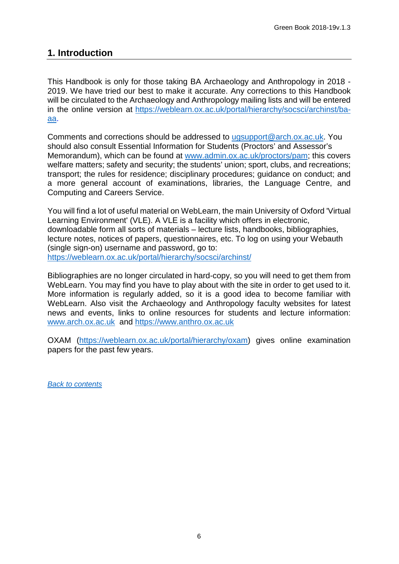# <span id="page-5-0"></span>**1. Introduction**

This Handbook is only for those taking BA Archaeology and Anthropology in 2018 - 2019. We have tried our best to make it accurate. Any corrections to this Handbook will be circulated to the Archaeology and Anthropology mailing lists and will be entered in the online version at [https://weblearn.ox.ac.uk/portal/hierarchy/socsci/archinst/ba](mailto:https://weblearn.ox.ac.uk/portal/hierarchy/socsci/archinst/ba-aa)[aa.](mailto:https://weblearn.ox.ac.uk/portal/hierarchy/socsci/archinst/ba-aa)

Comments and corrections should be addressed to [ugsupport@arch.ox.ac.uk.](mailto:ugsupport@arch.ox.ac.uk) You should also consult Essential Information for Students (Proctors' and Assessor's Memorandum), which can be found at www.admin.ox.ac.uk/proctors/pam; this covers welfare matters; safety and security; the students' union; sport, clubs, and recreations; transport; the rules for residence; disciplinary procedures; guidance on conduct; and a more general account of examinations, libraries, the Language Centre, and Computing and Careers Service.

You will find a lot of useful material on WebLearn, the main University of Oxford 'Virtual Learning Environment' (VLE). A VLE is a facility which offers in electronic, downloadable form all sorts of materials – lecture lists, handbooks, bibliographies, lecture notes, notices of papers, questionnaires, etc. To log on using your Webauth (single sign-on) username and password, go to: <https://weblearn.ox.ac.uk/portal/hierarchy/socsci/archinst/>

Bibliographies are no longer circulated in hard-copy, so you will need to get them from WebLearn. You may find you have to play about with the site in order to get used to it. More information is regularly added, so it is a good idea to become familiar with WebLearn. Also visit the Archaeology and Anthropology faculty websites for latest news and events, links to online resources for students and lecture information: [www.arch.ox.ac.uk](http://www.arch.ox.ac.uk/) and [https://www.anthro.ox.ac.uk](https://www.anthro.ox.ac.uk/)

OXAM [\(https://weblearn.ox.ac.uk/portal/hierarchy/oxam\)](https://weblearn.ox.ac.uk/portal/hierarchy/oxam) gives online examination papers for the past few years.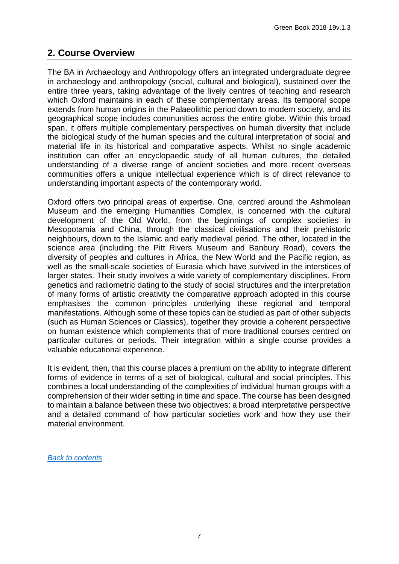# <span id="page-6-0"></span>**2. Course Overview**

The BA in Archaeology and Anthropology offers an integrated undergraduate degree in archaeology and anthropology (social, cultural and biological), sustained over the entire three years, taking advantage of the lively centres of teaching and research which Oxford maintains in each of these complementary areas. Its temporal scope extends from human origins in the Palaeolithic period down to modern society, and its geographical scope includes communities across the entire globe. Within this broad span, it offers multiple complementary perspectives on human diversity that include the biological study of the human species and the cultural interpretation of social and material life in its historical and comparative aspects. Whilst no single academic institution can offer an encyclopaedic study of all human cultures, the detailed understanding of a diverse range of ancient societies and more recent overseas communities offers a unique intellectual experience which is of direct relevance to understanding important aspects of the contemporary world.

Oxford offers two principal areas of expertise. One, centred around the Ashmolean Museum and the emerging Humanities Complex, is concerned with the cultural development of the Old World, from the beginnings of complex societies in Mesopotamia and China, through the classical civilisations and their prehistoric neighbours, down to the Islamic and early medieval period. The other, located in the science area (including the Pitt Rivers Museum and Banbury Road), covers the diversity of peoples and cultures in Africa, the New World and the Pacific region, as well as the small-scale societies of Eurasia which have survived in the interstices of larger states. Their study involves a wide variety of complementary disciplines. From genetics and radiometric dating to the study of social structures and the interpretation of many forms of artistic creativity the comparative approach adopted in this course emphasises the common principles underlying these regional and temporal manifestations. Although some of these topics can be studied as part of other subjects (such as Human Sciences or Classics), together they provide a coherent perspective on human existence which complements that of more traditional courses centred on particular cultures or periods. Their integration within a single course provides a valuable educational experience.

<span id="page-6-1"></span>It is evident, then, that this course places a premium on the ability to integrate different forms of evidence in terms of a set of biological, cultural and social principles. This combines a local understanding of the complexities of individual human groups with a comprehension of their wider setting in time and space. The course has been designed to maintain a balance between these two objectives: a broad interpretative perspective and a detailed command of how particular societies work and how they use their material environment.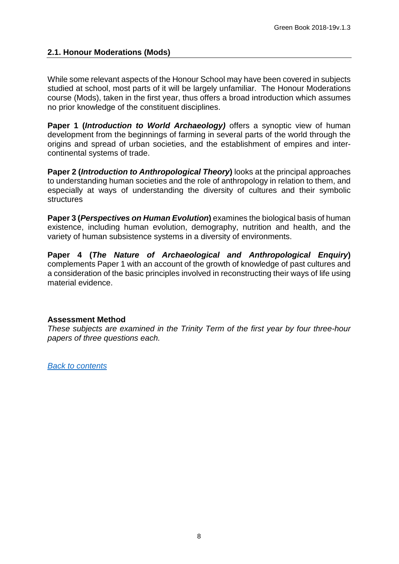#### **2.1. Honour Moderations (Mods)**

While some relevant aspects of the Honour School may have been covered in subjects studied at school, most parts of it will be largely unfamiliar. The Honour Moderations course (Mods), taken in the first year, thus offers a broad introduction which assumes no prior knowledge of the constituent disciplines.

**Paper 1 (***Introduction to World Archaeology)* offers a synoptic view of human development from the beginnings of farming in several parts of the world through the origins and spread of urban societies, and the establishment of empires and intercontinental systems of trade.

**Paper 2 (***Introduction to Anthropological Theory***)** looks at the principal approaches to understanding human societies and the role of anthropology in relation to them, and especially at ways of understanding the diversity of cultures and their symbolic structures

**Paper 3 (***Perspectives on Human Evolution***)** examines the biological basis of human existence, including human evolution, demography, nutrition and health, and the variety of human subsistence systems in a diversity of environments.

**Paper 4 (***The Nature of Archaeological and Anthropological Enquiry***)** complements Paper 1 with an account of the growth of knowledge of past cultures and a consideration of the basic principles involved in reconstructing their ways of life using material evidence.

#### **Assessment Method**

*These subjects are examined in the Trinity Term of the first year by four three-hour papers of three questions each.*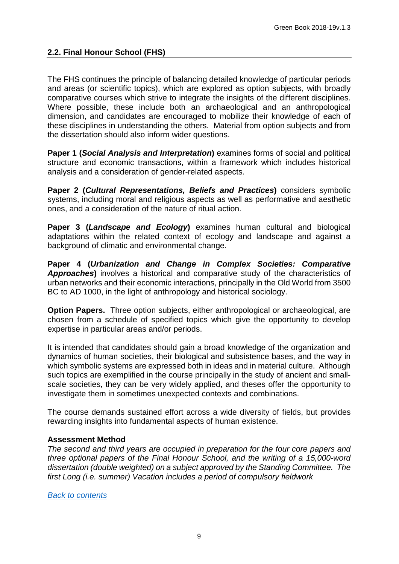<span id="page-8-0"></span>The FHS continues the principle of balancing detailed knowledge of particular periods and areas (or scientific topics), which are explored as option subjects, with broadly comparative courses which strive to integrate the insights of the different disciplines. Where possible, these include both an archaeological and an anthropological dimension, and candidates are encouraged to mobilize their knowledge of each of these disciplines in understanding the others. Material from option subjects and from the dissertation should also inform wider questions.

**Paper 1 (***Social Analysis and Interpretation***)** examines forms of social and political structure and economic transactions, within a framework which includes historical analysis and a consideration of gender-related aspects.

**Paper 2 (***Cultural Representations, Beliefs and Practices***)** considers symbolic systems, including moral and religious aspects as well as performative and aesthetic ones, and a consideration of the nature of ritual action.

**Paper 3 (***Landscape and Ecology***)** examines human cultural and biological adaptations within the related context of ecology and landscape and against a background of climatic and environmental change.

**Paper 4 (***Urbanization and Change in Complex Societies: Comparative Approaches***)** involves a historical and comparative study of the characteristics of urban networks and their economic interactions, principally in the Old World from 3500 BC to AD 1000, in the light of anthropology and historical sociology.

**Option Papers.** Three option subjects, either anthropological or archaeological, are chosen from a schedule of specified topics which give the opportunity to develop expertise in particular areas and/or periods.

It is intended that candidates should gain a broad knowledge of the organization and dynamics of human societies, their biological and subsistence bases, and the way in which symbolic systems are expressed both in ideas and in material culture. Although such topics are exemplified in the course principally in the study of ancient and smallscale societies, they can be very widely applied, and theses offer the opportunity to investigate them in sometimes unexpected contexts and combinations.

The course demands sustained effort across a wide diversity of fields, but provides rewarding insights into fundamental aspects of human existence.

# **Assessment Method**

<span id="page-8-1"></span>*The second and third years are occupied in preparation for the four core papers and three optional papers of the Final Honour School, and the writing of a 15,000-word dissertation (double weighted) on a subject approved by the Standing Committee. The first Long (i.e. summer) Vacation includes a period of compulsory fieldwork*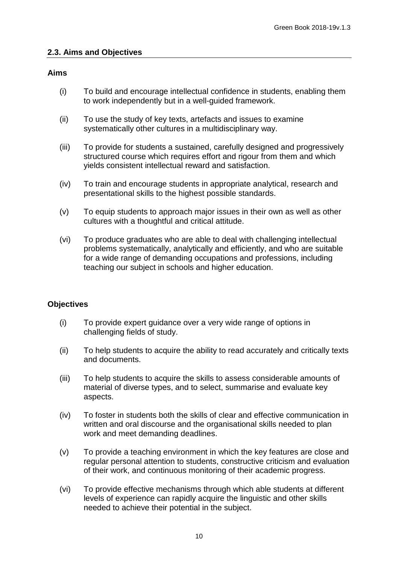#### **2.3. Aims and Objectives**

#### **Aims**

- (i) To build and encourage intellectual confidence in students, enabling them to work independently but in a well-guided framework.
- (ii) To use the study of key texts, artefacts and issues to examine systematically other cultures in a multidisciplinary way.
- (iii) To provide for students a sustained, carefully designed and progressively structured course which requires effort and rigour from them and which yields consistent intellectual reward and satisfaction.
- (iv) To train and encourage students in appropriate analytical, research and presentational skills to the highest possible standards.
- (v) To equip students to approach major issues in their own as well as other cultures with a thoughtful and critical attitude.
- (vi) To produce graduates who are able to deal with challenging intellectual problems systematically, analytically and efficiently, and who are suitable for a wide range of demanding occupations and professions, including teaching our subject in schools and higher education.

#### **Objectives**

- (i) To provide expert guidance over a very wide range of options in challenging fields of study.
- (ii) To help students to acquire the ability to read accurately and critically texts and documents.
- (iii) To help students to acquire the skills to assess considerable amounts of material of diverse types, and to select, summarise and evaluate key aspects.
- (iv) To foster in students both the skills of clear and effective communication in written and oral discourse and the organisational skills needed to plan work and meet demanding deadlines.
- (v) To provide a teaching environment in which the key features are close and regular personal attention to students, constructive criticism and evaluation of their work, and continuous monitoring of their academic progress.
- (vi) To provide effective mechanisms through which able students at different levels of experience can rapidly acquire the linguistic and other skills needed to achieve their potential in the subject.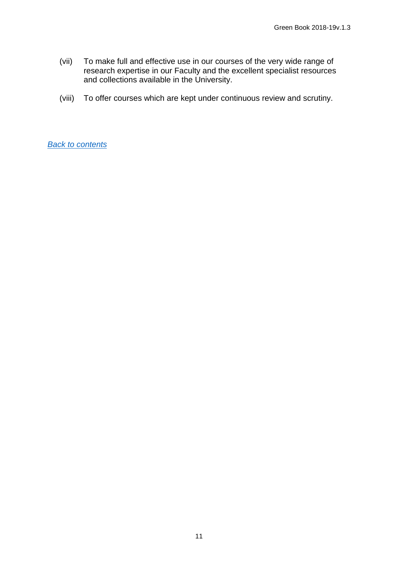- (vii) To make full and effective use in our courses of the very wide range of research expertise in our Faculty and the excellent specialist resources and collections available in the University.
- (viii) To offer courses which are kept under continuous review and scrutiny.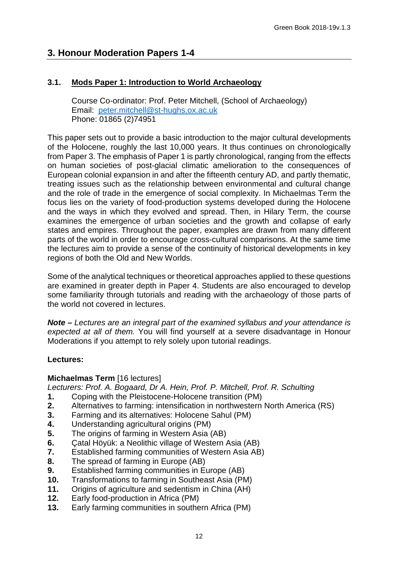# **3. Honour Moderation Papers 1-4**

# **3.1. Mods Paper 1: Introduction to World Archaeology**

<span id="page-11-0"></span>Course Co-ordinator: Prof. Peter Mitchell, (School of Archaeology) Email: [peter.mitchell@st-hughs.ox.ac.uk](mailto:Peter.mitchell@st-hughs.ox.ac.uk) Phone: 01865 (2)74951

This paper sets out to provide a basic introduction to the major cultural developments of the Holocene, roughly the last 10,000 years. It thus continues on chronologically from Paper 3. The emphasis of Paper 1 is partly chronological, ranging from the effects on human societies of post-glacial climatic amelioration to the consequences of European colonial expansion in and after the fifteenth century AD, and partly thematic, treating issues such as the relationship between environmental and cultural change and the role of trade in the emergence of social complexity. In Michaelmas Term the focus lies on the variety of food-production systems developed during the Holocene and the ways in which they evolved and spread. Then, in Hilary Term, the course examines the emergence of urban societies and the growth and collapse of early states and empires. Throughout the paper, examples are drawn from many different parts of the world in order to encourage cross-cultural comparisons. At the same time the lectures aim to provide a sense of the continuity of historical developments in key regions of both the Old and New Worlds.

Some of the analytical techniques or theoretical approaches applied to these questions are examined in greater depth in Paper 4. Students are also encouraged to develop some familiarity through tutorials and reading with the archaeology of those parts of the world not covered in lectures.

*Note – Lectures are an integral part of the examined syllabus and your attendance is expected at all of them.* You will find yourself at a severe disadvantage in Honour Moderations if you attempt to rely solely upon tutorial readings.

#### **Lectures:**

#### **Michaelmas Term** [16 lectures]

*Lecturers: Prof. A. Bogaard, Dr A. Hein, Prof. P. Mitchell, Prof. R. Schulting* 

- **1.** Coping with the Pleistocene-Holocene transition (PM)
- **2.** Alternatives to farming: intensification in northwestern North America (RS)
- **3.** Farming and its alternatives: Holocene Sahul (PM)<br>**4.** Understanding agricultural origins (PM)
- **4.** Understanding agricultural origins (PM)<br>**5.** The origins of farming in Western Asia (
- **5.** The origins of farming in Western Asia (AB)
- **6.** Çatal Höyük: a Neolithic village of Western Asia (AB)
- **7.** Established farming communities of Western Asia AB)
- **8.** The spread of farming in Europe (AB)
- **9.** Established farming communities in Europe (AB)
- **10.** Transformations to farming in Southeast Asia (PM)<br>**11.** Origins of agriculture and sedentism in China (AH)
- **11.** Origins of agriculture and sedentism in China (AH)
- **12.** Early food-production in Africa (PM)
- **13.** Early farming communities in southern Africa (PM)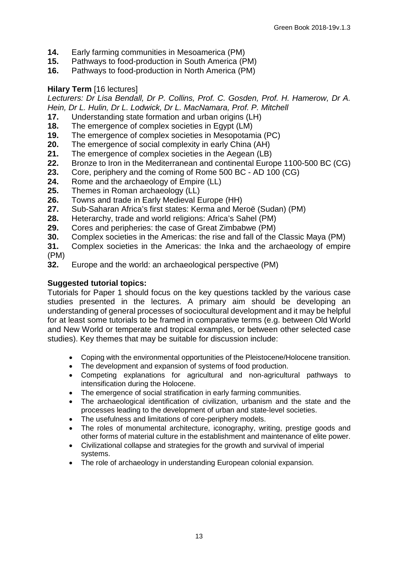- **14.** Early farming communities in Mesoamerica (PM)
- **15.** Pathways to food-production in South America (PM)
- **16.** Pathways to food-production in North America (PM)

#### **Hilary Term** [16 lectures]

*Lecturers: Dr Lisa Bendall, Dr P. Collins, Prof. C. Gosden, Prof. H. Hamerow, Dr A. Hein, Dr L. Hulin, Dr L. Lodwick, Dr L. MacNamara, Prof. P. Mitchell*

- **17.** Understanding state formation and urban origins (LH)
- **18.** The emergence of complex societies in Egypt (LM)<br>**19.** The emergence of complex societies in Mesopotam
- **19.** The emergence of complex societies in Mesopotamia (PC)<br>**20.** The emergence of social complexity in early China (AH)
- **20.** The emergence of social complexity in early China (AH)
- **21.** The emergence of complex societies in the Aegean (LB)
- **22.** Bronze to Iron in the Mediterranean and continental Europe 1100-500 BC (CG)<br>**23.** Core, periphery and the coming of Rome 500 BC AD 100 (CG)
- 23. Core, periphery and the coming of Rome 500 BC AD 100 (CG)<br>24. Rome and the archaeology of Empire (LL)
- 24. Rome and the archaeology of Empire (LL)<br>25. Themes in Roman archaeology (LL)
- **25.** Themes in Roman archaeology (LL)
- **26.** Towns and trade in Early Medieval Europe (HH)
- **27.** Sub-Saharan Africa's first states: Kerma and Meroë (Sudan) (PM)
- **28.** Heterarchy, trade and world religions: Africa's Sahel (PM)
- **29.** Cores and peripheries: the case of Great Zimbabwe (PM)
- **30.** Complex societies in the Americas: the rise and fall of the Classic Maya (PM)<br>**31.** Complex societies in the Americas: the Inka and the archaeology of empire
- **31.** Complex societies in the Americas: the Inka and the archaeology of empire (PM)
- **32.** Europe and the world: an archaeological perspective (PM)

#### **Suggested tutorial topics:**

Tutorials for Paper 1 should focus on the key questions tackled by the various case studies presented in the lectures. A primary aim should be developing an understanding of general processes of sociocultural development and it may be helpful for at least some tutorials to be framed in comparative terms (e.g. between Old World and New World or temperate and tropical examples, or between other selected case studies). Key themes that may be suitable for discussion include:

- Coping with the environmental opportunities of the Pleistocene/Holocene transition.
- The development and expansion of systems of food production.
- Competing explanations for agricultural and non-agricultural pathways to intensification during the Holocene.
- The emergence of social stratification in early farming communities.
- The archaeological identification of civilization, urbanism and the state and the processes leading to the development of urban and state-level societies.
- The usefulness and limitations of core-periphery models.
- The roles of monumental architecture, iconography, writing, prestige goods and other forms of material culture in the establishment and maintenance of elite power.
- Civilizational collapse and strategies for the growth and survival of imperial systems.
- The role of archaeology in understanding European colonial expansion.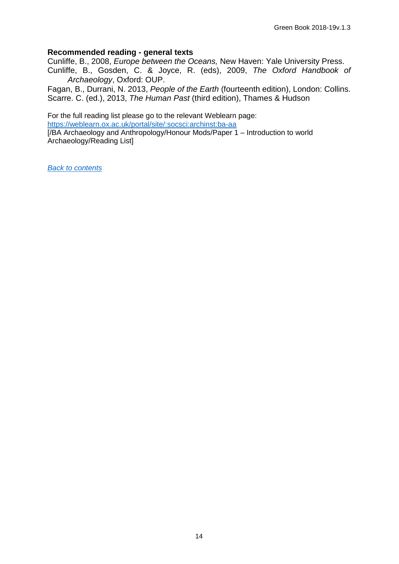#### **Recommended reading - general texts**

Cunliffe, B., 2008, *Europe between the Oceans,* New Haven: Yale University Press.

Cunliffe, B., Gosden, C. & Joyce, R. (eds), 2009, *The Oxford Handbook of Archaeology*, Oxford: OUP.

Fagan, B., Durrani, N. 2013, *People of the Earth* (fourteenth edition), London: Collins. Scarre. C. (ed.), 2013, *The Human Past* (third edition), Thames & Hudson

For the full reading list please go to the relevant Weblearn page: <https://weblearn.ox.ac.uk/portal/site/:socsci:archinst:ba-aa>

[/BA Archaeology and Anthropology/Honour Mods/Paper 1 – Introduction to world Archaeology/Reading List]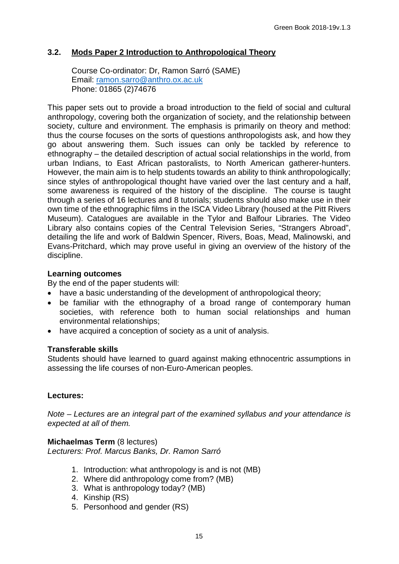# **3.2. Mods Paper 2 Introduction to Anthropological Theory**

<span id="page-14-0"></span>Course Co-ordinator: Dr, Ramon Sarró (SAME) Email: [ramon.sarro@anthro.ox.ac.uk](mailto:ramon.sarro@anthro.ox.ac.uk) Phone: 01865 (2)74676

This paper sets out to provide a broad introduction to the field of social and cultural anthropology, covering both the organization of society, and the relationship between society, culture and environment. The emphasis is primarily on theory and method: thus the course focuses on the sorts of questions anthropologists ask, and how they go about answering them. Such issues can only be tackled by reference to ethnography – the detailed description of actual social relationships in the world, from urban Indians, to East African pastoralists, to North American gatherer-hunters. However, the main aim is to help students towards an ability to think anthropologically; since styles of anthropological thought have varied over the last century and a half, some awareness is required of the history of the discipline. The course is taught through a series of 16 lectures and 8 tutorials; students should also make use in their own time of the ethnographic films in the ISCA Video Library (housed at the Pitt Rivers Museum). Catalogues are available in the Tylor and Balfour Libraries. The Video Library also contains copies of the Central Television Series, "Strangers Abroad", detailing the life and work of Baldwin Spencer, Rivers, Boas, Mead, Malinowski, and Evans-Pritchard, which may prove useful in giving an overview of the history of the discipline.

#### **Learning outcomes**

By the end of the paper students will:

- have a basic understanding of the development of anthropological theory;
- be familiar with the ethnography of a broad range of contemporary human societies, with reference both to human social relationships and human environmental relationships;
- have acquired a conception of society as a unit of analysis.

#### **Transferable skills**

Students should have learned to guard against making ethnocentric assumptions in assessing the life courses of non-Euro-American peoples.

#### **Lectures:**

*Note – Lectures are an integral part of the examined syllabus and your attendance is expected at all of them.*

#### **Michaelmas Term** (8 lectures)

*Lecturers: Prof. Marcus Banks, Dr. Ramon Sarró*

- 1. Introduction: what anthropology is and is not (MB)
- 2. Where did anthropology come from? (MB)
- 3. What is anthropology today? (MB)
- 4. Kinship (RS)
- 5. Personhood and gender (RS)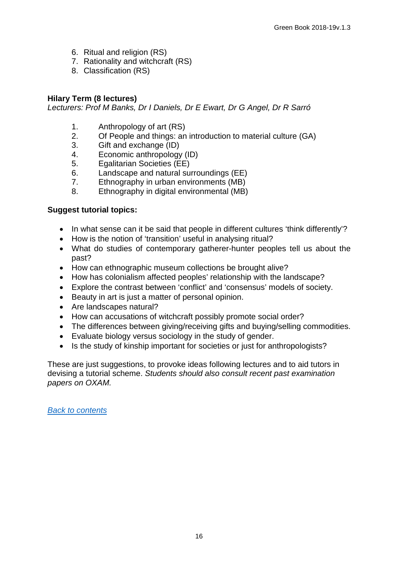- 6. Ritual and religion (RS)
- 7. Rationality and witchcraft (RS)
- 8. Classification (RS)

#### **Hilary Term (8 lectures)**

*Lecturers: Prof M Banks, Dr I Daniels, Dr E Ewart, Dr G Angel, Dr R Sarró*

- 1. Anthropology of art (RS)<br>2. Of People and things: an
- 2. Of People and things: an introduction to material culture (GA)
- 3. Gift and exchange (ID)
- 4. Economic anthropology (ID)
- 5. Egalitarian Societies (EE)<br>6. Landscape and natural su
- Landscape and natural surroundings (EE)
- 7. Ethnography in urban environments (MB)
- 8. Ethnography in digital environmental (MB)

#### **Suggest tutorial topics:**

- In what sense can it be said that people in different cultures 'think differently'?
- How is the notion of 'transition' useful in analysing ritual?
- What do studies of contemporary gatherer-hunter peoples tell us about the past?
- How can ethnographic museum collections be brought alive?
- How has colonialism affected peoples' relationship with the landscape?
- Explore the contrast between 'conflict' and 'consensus' models of society.
- Beauty in art is just a matter of personal opinion.
- Are landscapes natural?
- How can accusations of witchcraft possibly promote social order?
- The differences between giving/receiving gifts and buying/selling commodities.
- Evaluate biology versus sociology in the study of gender.
- Is the study of kinship important for societies or just for anthropologists?

These are just suggestions, to provoke ideas following lectures and to aid tutors in devising a tutorial scheme. *Students should also consult recent past examination papers on OXAM.*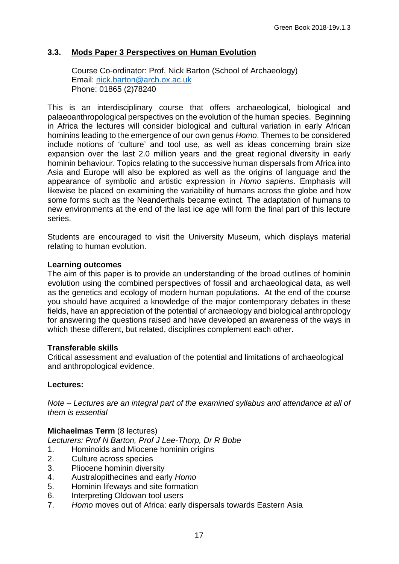## **3.3. Mods Paper 3 Perspectives on Human Evolution**

<span id="page-16-0"></span>Course Co-ordinator: Prof. Nick Barton (School of Archaeology) Email: [nick.barton@arch.ox.ac.uk](mailto:marcus.banks@anthro.ox.ac.uk) Phone: 01865 (2)78240

This is an interdisciplinary course that offers archaeological, biological and palaeoanthropological perspectives on the evolution of the human species. Beginning in Africa the lectures will consider biological and cultural variation in early African hominins leading to the emergence of our own genus *Homo*. Themes to be considered include notions of 'culture' and tool use, as well as ideas concerning brain size expansion over the last 2.0 million years and the great regional diversity in early hominin behaviour. Topics relating to the successive human dispersals from Africa into Asia and Europe will also be explored as well as the origins of language and the appearance of symbolic and artistic expression in *Homo sapiens*. Emphasis will likewise be placed on examining the variability of humans across the globe and how some forms such as the Neanderthals became extinct. The adaptation of humans to new environments at the end of the last ice age will form the final part of this lecture series.

Students are encouraged to visit the University Museum, which displays material relating to human evolution.

#### **Learning outcomes**

The aim of this paper is to provide an understanding of the broad outlines of hominin evolution using the combined perspectives of fossil and archaeological data, as well as the genetics and ecology of modern human populations. At the end of the course you should have acquired a knowledge of the major contemporary debates in these fields, have an appreciation of the potential of archaeology and biological anthropology for answering the questions raised and have developed an awareness of the ways in which these different, but related, disciplines complement each other.

#### **Transferable skills**

Critical assessment and evaluation of the potential and limitations of archaeological and anthropological evidence.

#### **Lectures:**

*Note – Lectures are an integral part of the examined syllabus and attendance at all of them is essential*

#### **Michaelmas Term** (8 lectures)

*Lecturers: Prof N Barton, Prof J Lee-Thorp, Dr R Bobe*

- 1. Hominoids and Miocene hominin origins
- 2. Culture across species
- 3. Pliocene hominin diversity
- 4. Australopithecines and early *Homo*
- 5. Hominin lifeways and site formation
- 6. Interpreting Oldowan tool users
- 7. *Homo* moves out of Africa: early dispersals towards Eastern Asia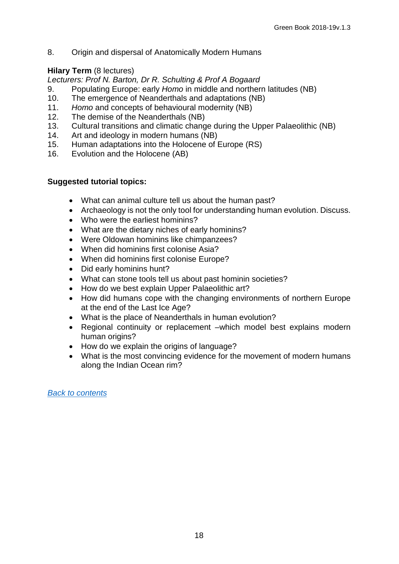8. Origin and dispersal of Anatomically Modern Humans

# **Hilary Term** (8 lectures)

*Lecturers: Prof N. Barton, Dr R. Schulting & Prof A Bogaard*

- 9. Populating Europe: early *Homo* in middle and northern latitudes (NB)
- 10. The emergence of Neanderthals and adaptations (NB)<br>11. Homo and concepts of behavioural modernity (NB)
- Homo and concepts of behavioural modernity (NB)
- 12. The demise of the Neanderthals (NB)
- 13. Cultural transitions and climatic change during the Upper Palaeolithic (NB)<br>14. Art and ideology in modern humans (NB)
- Art and ideology in modern humans (NB)
- 15. Human adaptations into the Holocene of Europe (RS)<br>16. Evolution and the Holocene (AB)
- Evolution and the Holocene (AB)

#### **Suggested tutorial topics:**

- What can animal culture tell us about the human past?
- Archaeology is not the only tool for understanding human evolution. Discuss.
- Who were the earliest hominins?
- What are the dietary niches of early hominins?
- Were Oldowan hominins like chimpanzees?
- When did hominins first colonise Asia?
- When did hominins first colonise Europe?
- Did early hominins hunt?
- What can stone tools tell us about past hominin societies?
- How do we best explain Upper Palaeolithic art?
- How did humans cope with the changing environments of northern Europe at the end of the Last Ice Age?
- What is the place of Neanderthals in human evolution?
- Regional continuity or replacement –which model best explains modern human origins?
- How do we explain the origins of language?
- What is the most convincing evidence for the movement of modern humans along the Indian Ocean rim?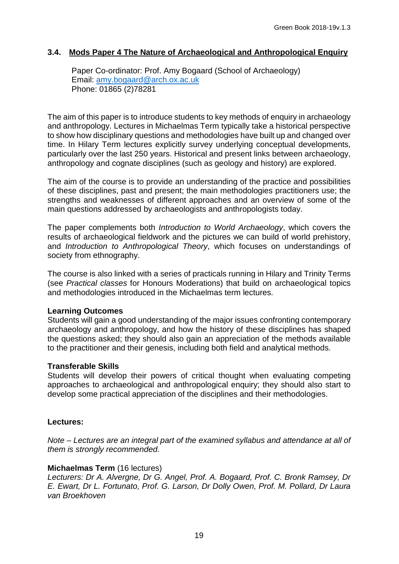## **3.4. Mods Paper 4 The Nature of Archaeological and Anthropological Enquiry**

<span id="page-18-0"></span>Paper Co-ordinator: Prof. Amy Bogaard (School of Archaeology) Email: [amy.bogaard@arch.ox.ac.uk](mailto:amy.bogaard@arch.ox.ac.uk) Phone: 01865 (2)78281

The aim of this paper is to introduce students to key methods of enquiry in archaeology and anthropology. Lectures in Michaelmas Term typically take a historical perspective to show how disciplinary questions and methodologies have built up and changed over time. In Hilary Term lectures explicitly survey underlying conceptual developments, particularly over the last 250 years. Historical and present links between archaeology, anthropology and cognate disciplines (such as geology and history) are explored.

The aim of the course is to provide an understanding of the practice and possibilities of these disciplines, past and present; the main methodologies practitioners use; the strengths and weaknesses of different approaches and an overview of some of the main questions addressed by archaeologists and anthropologists today.

The paper complements both *Introduction to World Archaeology*, which covers the results of archaeological fieldwork and the pictures we can build of world prehistory, and *Introduction to Anthropological Theory*, which focuses on understandings of society from ethnography.

The course is also linked with a series of practicals running in Hilary and Trinity Terms (see *Practical classes* for Honours Moderations) that build on archaeological topics and methodologies introduced in the Michaelmas term lectures.

#### **Learning Outcomes**

Students will gain a good understanding of the major issues confronting contemporary archaeology and anthropology, and how the history of these disciplines has shaped the questions asked; they should also gain an appreciation of the methods available to the practitioner and their genesis, including both field and analytical methods.

#### **Transferable Skills**

Students will develop their powers of critical thought when evaluating competing approaches to archaeological and anthropological enquiry; they should also start to develop some practical appreciation of the disciplines and their methodologies.

#### **Lectures:**

*Note – Lectures are an integral part of the examined syllabus and attendance at all of them is strongly recommended.*

#### **Michaelmas Term** (16 lectures)

*Lecturers: Dr A. Alvergne, Dr G. Angel, Prof. A. Bogaard, Prof. C. Bronk Ramsey, Dr E. Ewart, Dr L. Fortunato, Prof. G. Larson, Dr Dolly Owen, Prof. M. Pollard, Dr Laura van Broekhoven*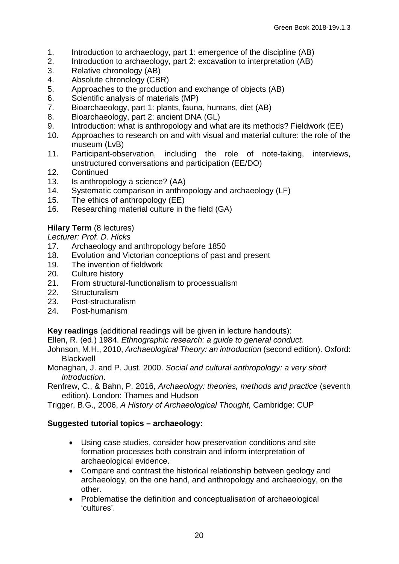- 1. Introduction to archaeology, part 1: emergence of the discipline (AB)
- 2. Introduction to archaeology, part 2: excavation to interpretation (AB)<br>3. Relative chronology (AB)
- 3. Relative chronology (AB)<br>4. Absolute chronology (CB)
- 4. Absolute chronology (CBR)
- 5. Approaches to the production and exchange of objects (AB)
- 6. Scientific analysis of materials (MP)<br>7. Bioarchaeology, part 1: plants, fauna
- Bioarchaeology, part 1: plants, fauna, humans, diet (AB)
- 8. Bioarchaeology, part 2: ancient DNA (GL)
- 9. Introduction: what is anthropology and what are its methods? Fieldwork (EE)<br>10. Approaches to research on and with visual and material culture: the role of th
- Approaches to research on and with visual and material culture: the role of the museum (LvB)<br>Participant-observation.
- 11. Participant-observation, including the role of note-taking, interviews, unstructured conversations and participation (EE/DO)
- 12. Continued
- 13. Is anthropology a science? (AA)<br>14. Systematic comparison in anthro
- Systematic comparison in anthropology and archaeology (LF)
- 15. The ethics of anthropology (EE)<br>16. Researching material culture in t
- Researching material culture in the field (GA)

# **Hilary Term** (8 lectures)

*Lecturer: Prof. D. Hicks*

- 17. Archaeology and anthropology before 1850<br>18. Evolution and Victorian conceptions of past
- Evolution and Victorian conceptions of past and present
- 19. The invention of fieldwork
- 
- 20. Culture history<br>21. From structural From structural-functionalism to processualism
- 22. Structuralism
- 23. Post-structuralism
- 24. Post-humanism

**Key readings** (additional readings will be given in lecture handouts):

Ellen, R. (ed.) 1984. *Ethnographic research: a guide to general conduct.*

Johnson, M.H., 2010, *Archaeological Theory: an introduction* (second edition). Oxford: **Blackwell** 

- Monaghan, J. and P. Just. 2000. *Social and cultural anthropology: a very short introduction*.
- Renfrew, C., & Bahn, P. 2016, *Archaeology: theories, methods and practice* (seventh edition). London: Thames and Hudson

Trigger, B.G., 2006, *A History of Archaeological Thought*, Cambridge: CUP

# **Suggested tutorial topics – archaeology:**

- Using case studies, consider how preservation conditions and site formation processes both constrain and inform interpretation of archaeological evidence.
- Compare and contrast the historical relationship between geology and archaeology, on the one hand, and anthropology and archaeology, on the other.
- Problematise the definition and conceptualisation of archaeological 'cultures'.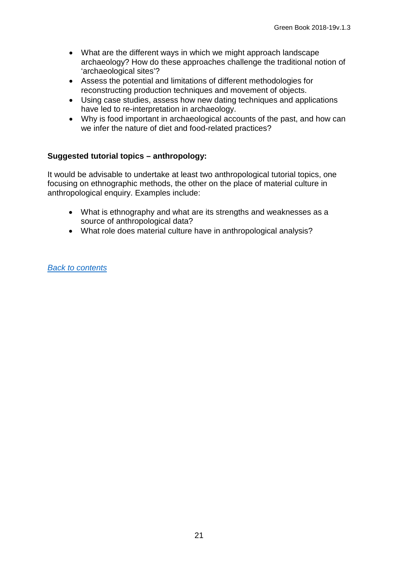- What are the different ways in which we might approach landscape archaeology? How do these approaches challenge the traditional notion of 'archaeological sites'?
- Assess the potential and limitations of different methodologies for reconstructing production techniques and movement of objects.
- Using case studies, assess how new dating techniques and applications have led to re-interpretation in archaeology.
- Why is food important in archaeological accounts of the past, and how can we infer the nature of diet and food-related practices?

#### **Suggested tutorial topics – anthropology:**

It would be advisable to undertake at least two anthropological tutorial topics, one focusing on ethnographic methods, the other on the place of material culture in anthropological enquiry. Examples include:

- What is ethnography and what are its strengths and weaknesses as a source of anthropological data?
- What role does material culture have in anthropological analysis?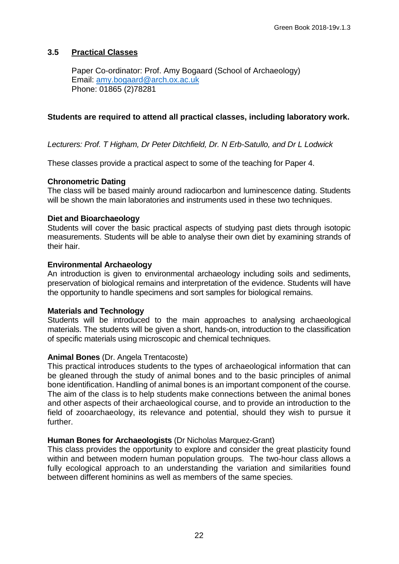#### <span id="page-21-0"></span>**3.5 Practical Classes**

Paper Co-ordinator: Prof. Amy Bogaard (School of Archaeology) Email: [amy.bogaard@arch.ox.ac.uk](mailto:amy.bogaard@arch.ox.ac.uk) Phone: 01865 (2)78281

#### **Students are required to attend all practical classes, including laboratory work.**

*Lecturers: Prof. T Higham, Dr Peter Ditchfield, Dr. N Erb-Satullo, and Dr L Lodwick* 

These classes provide a practical aspect to some of the teaching for Paper 4.

#### **Chronometric Dating**

The class will be based mainly around radiocarbon and luminescence dating. Students will be shown the main laboratories and instruments used in these two techniques.

#### **Diet and Bioarchaeology**

Students will cover the basic practical aspects of studying past diets through isotopic measurements. Students will be able to analyse their own diet by examining strands of their hair.

#### **Environmental Archaeology**

An introduction is given to environmental archaeology including soils and sediments, preservation of biological remains and interpretation of the evidence. Students will have the opportunity to handle specimens and sort samples for biological remains.

#### **Materials and Technology**

Students will be introduced to the main approaches to analysing archaeological materials. The students will be given a short, hands-on, introduction to the classification of specific materials using microscopic and chemical techniques.

#### **Animal Bones** (Dr. Angela Trentacoste)

This practical introduces students to the types of archaeological information that can be gleaned through the study of animal bones and to the basic principles of animal bone identification. Handling of animal bones is an important component of the course. The aim of the class is to help students make connections between the animal bones and other aspects of their archaeological course, and to provide an introduction to the field of zooarchaeology, its relevance and potential, should they wish to pursue it further.

#### **Human Bones for Archaeologists** (Dr Nicholas Marquez-Grant)

This class provides the opportunity to explore and consider the great plasticity found within and between modern human population groups. The two-hour class allows a fully ecological approach to an understanding the variation and similarities found between different hominins as well as members of the same species.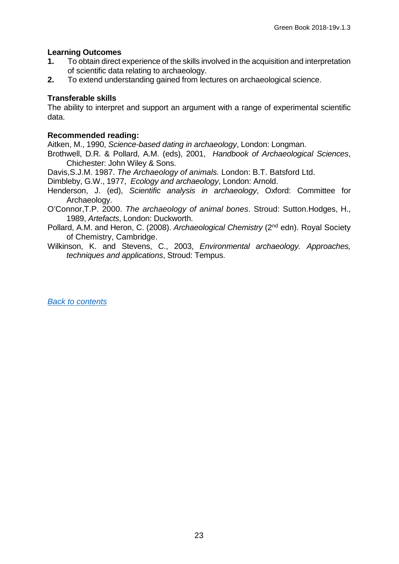#### **Learning Outcomes**

- **1.** To obtain direct experience of the skills involved in the acquisition and interpretation of scientific data relating to archaeology.
- **2.** To extend understanding gained from lectures on archaeological science.

#### **Transferable skills**

The ability to interpret and support an argument with a range of experimental scientific data.

#### **Recommended reading:**

Aitken, M., 1990, *Science-based dating in archaeology*, London: Longman.

Brothwell, D.R. & Pollard, A.M. (eds), 2001, *Handbook of Archaeological Sciences*, Chichester: John Wiley & Sons.

Davis,S.J.M. 1987. *The Archaeology of animals.* London: B.T. Batsford Ltd.

Dimbleby, G.W., 1977, *Ecology and archaeology*, London: Arnold.

Henderson, J. (ed), *Scientific analysis in archaeology*, Oxford: Committee for Archaeology.

- O'Connor,T.P. 2000. *The archaeology of animal bones*. Stroud: Sutton.Hodges, H., 1989, *Artefacts*, London: Duckworth.
- Pollard, A.M. and Heron, C. (2008). *Archaeological Chemistry* (2nd edn). Royal Society of Chemistry, Cambridge.
- Wilkinson, K. and Stevens, C., 2003, *Environmental archaeology. Approaches, techniques and applications*, Stroud: Tempus.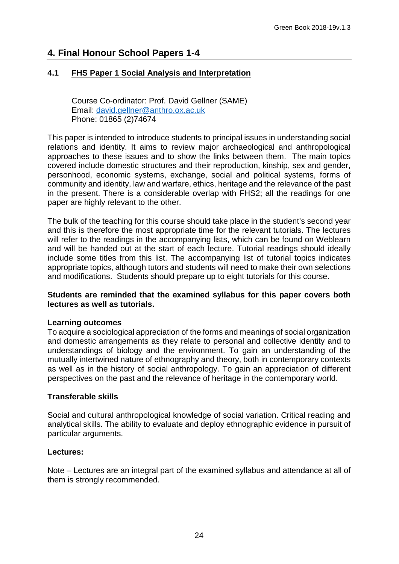# **4. Final Honour School Papers 1-4**

# <span id="page-23-0"></span>**4.1 FHS Paper 1 Social Analysis and Interpretation**

Course Co-ordinator: Prof. David Gellner (SAME) Email: [david.gellner@anthro.ox.ac.uk](mailto:amy.bogaard@arch.ox.ac.uk) Phone: 01865 (2)74674

This paper is intended to introduce students to principal issues in understanding social relations and identity. It aims to review major archaeological and anthropological approaches to these issues and to show the links between them. The main topics covered include domestic structures and their reproduction, kinship, sex and gender, personhood, economic systems, exchange, social and political systems, forms of community and identity, law and warfare, ethics, heritage and the relevance of the past in the present. There is a considerable overlap with FHS2; all the readings for one paper are highly relevant to the other.

The bulk of the teaching for this course should take place in the student's second year and this is therefore the most appropriate time for the relevant tutorials. The lectures will refer to the readings in the accompanying lists, which can be found on Weblearn and will be handed out at the start of each lecture. Tutorial readings should ideally include some titles from this list. The accompanying list of tutorial topics indicates appropriate topics, although tutors and students will need to make their own selections and modifications. Students should prepare up to eight tutorials for this course.

#### **Students are reminded that the examined syllabus for this paper covers both lectures as well as tutorials.**

#### **Learning outcomes**

To acquire a sociological appreciation of the forms and meanings of social organization and domestic arrangements as they relate to personal and collective identity and to understandings of biology and the environment. To gain an understanding of the mutually intertwined nature of ethnography and theory, both in contemporary contexts as well as in the history of social anthropology. To gain an appreciation of different perspectives on the past and the relevance of heritage in the contemporary world.

#### **Transferable skills**

Social and cultural anthropological knowledge of social variation. Critical reading and analytical skills. The ability to evaluate and deploy ethnographic evidence in pursuit of particular arguments.

#### **Lectures:**

Note – Lectures are an integral part of the examined syllabus and attendance at all of them is strongly recommended.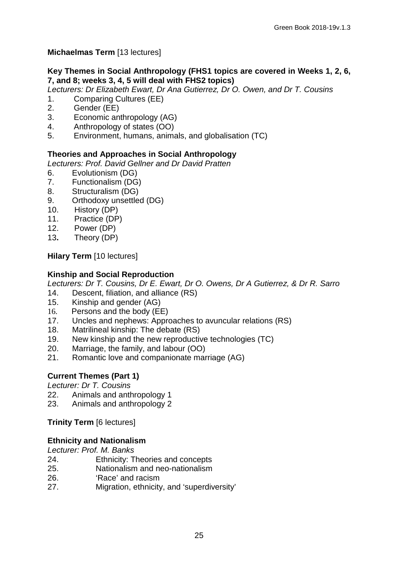# **Michaelmas Term** [13 lectures]

# **Key Themes in Social Anthropology (FHS1 topics are covered in Weeks 1, 2, 6, 7, and 8; weeks 3, 4, 5 will deal with FHS2 topics)**

*Lecturers: Dr Elizabeth Ewart, Dr Ana Gutierrez, Dr O. Owen, and Dr T. Cousins*

- 1. Comparing Cultures (EE)<br>2. Gender (EE)
- Gender (EE)
- 3. Economic anthropology (AG)
- 4. Anthropology of states (OO)
- 5. Environment, humans, animals, and globalisation (TC)

# **Theories and Approaches in Social Anthropology**

*Lecturers: Prof. David Gellner and Dr David Pratten*

- 6. Evolutionism (DG)
- 7. Functionalism (DG)
- 8. Structuralism (DG)
- 9. Orthodoxy unsettled (DG)<br>10. History (DP)
- History (DP)
- 11. Practice (DP)
- 12. Power (DP)
- 13**.** Theory (DP)

**Hilary Term** [10 lectures]

# **Kinship and Social Reproduction**

*Lecturers: Dr T. Cousins, Dr E. Ewart, Dr O. Owens, Dr A Gutierrez, & Dr R. Sarro*

- 14. Descent, filiation, and alliance (RS)
- 15. Kinship and gender (AG)
- 16. Persons and the body (EE)
- 17. Uncles and nephews: Approaches to avuncular relations (RS)
- 18. Matrilineal kinship: The debate (RS)
- 19. New kinship and the new reproductive technologies (TC)<br>20. Marriage, the family, and labour (OO)
- Marriage, the family, and labour (OO)
- 21. Romantic love and companionate marriage (AG)

# **Current Themes (Part 1)**

*Lecturer: Dr T. Cousins*

- 22. Animals and anthropology 1
- 23. Animals and anthropology 2

**Trinity Term** [6 lectures]

# **Ethnicity and Nationalism**

*Lecturer: Prof. M. Banks*

- 24. Ethnicity: Theories and concepts
- 25. Nationalism and neo-nationalism
- 26. 'Race' and racism
- 27. Migration, ethnicity, and 'superdiversity'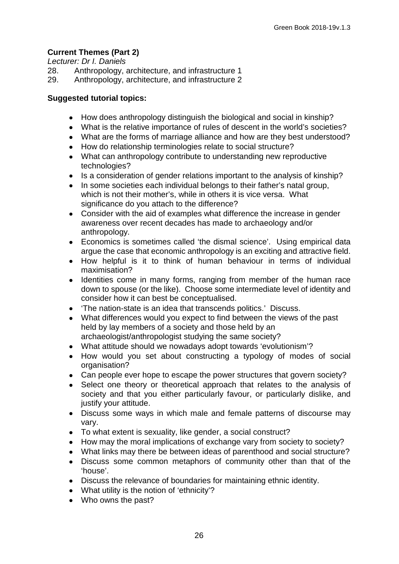# **Current Themes (Part 2)**

*Lecturer: Dr I. Daniels*

- 28. Anthropology, architecture, and infrastructure 1<br>29. Anthropology, architecture, and infrastructure 2
- Anthropology, architecture, and infrastructure 2

# **Suggested tutorial topics:**

- How does anthropology distinguish the biological and social in kinship?
- What is the relative importance of rules of descent in the world's societies?
- What are the forms of marriage alliance and how are they best understood?
- How do relationship terminologies relate to social structure?
- What can anthropology contribute to understanding new reproductive technologies?
- Is a consideration of gender relations important to the analysis of kinship?
- In some societies each individual belongs to their father's natal group, which is not their mother's, while in others it is vice versa. What significance do you attach to the difference?
- Consider with the aid of examples what difference the increase in gender awareness over recent decades has made to archaeology and/or anthropology.
- Economics is sometimes called 'the dismal science'. Using empirical data argue the case that economic anthropology is an exciting and attractive field.
- How helpful is it to think of human behaviour in terms of individual maximisation?
- Identities come in many forms, ranging from member of the human race down to spouse (or the like). Choose some intermediate level of identity and consider how it can best be conceptualised.
- 'The nation-state is an idea that transcends politics.' Discuss.
- What differences would you expect to find between the views of the past held by lay members of a society and those held by an archaeologist/anthropologist studying the same society?
- What attitude should we nowadays adopt towards 'evolutionism'?
- How would you set about constructing a typology of modes of social organisation?
- Can people ever hope to escape the power structures that govern society?
- Select one theory or theoretical approach that relates to the analysis of society and that you either particularly favour, or particularly dislike, and justify your attitude.
- Discuss some ways in which male and female patterns of discourse may vary.
- To what extent is sexuality, like gender, a social construct?
- How may the moral implications of exchange vary from society to society?
- What links may there be between ideas of parenthood and social structure?
- Discuss some common metaphors of community other than that of the 'house'.
- Discuss the relevance of boundaries for maintaining ethnic identity.
- What utility is the notion of 'ethnicity'?
- Who owns the past?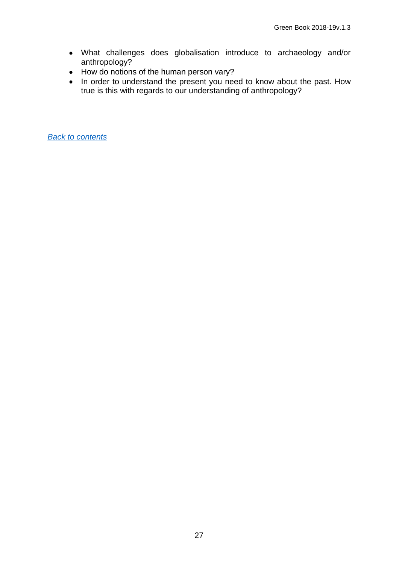- What challenges does globalisation introduce to archaeology and/or anthropology?
- How do notions of the human person vary?
- In order to understand the present you need to know about the past. How true is this with regards to our understanding of anthropology?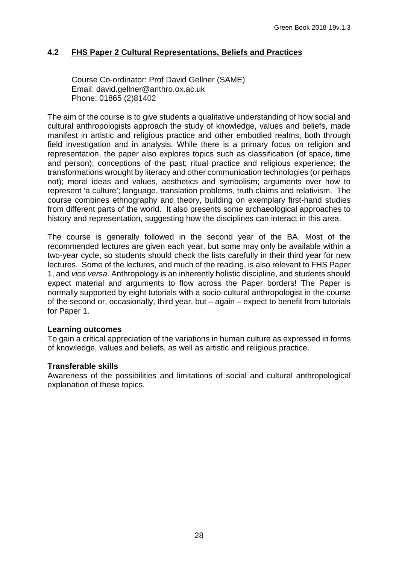# <span id="page-27-0"></span>**4.2 FHS Paper 2 Cultural Representations, Beliefs and Practices**

Course Co-ordinator: Prof David Gellner (SAME) Email: david.gellner@anthro.ox.ac.uk Phone: 01865 (2)81402

The aim of the course is to give students a qualitative understanding of how social and cultural anthropologists approach the study of knowledge, values and beliefs, made manifest in artistic and religious practice and other embodied realms, both through field investigation and in analysis. While there is a primary focus on religion and representation, the paper also explores topics such as classification (of space, time and person); conceptions of the past; ritual practice and religious experience; the transformations wrought by literacy and other communication technologies (or perhaps not); moral ideas and values, aesthetics and symbolism; arguments over how to represent 'a culture'; language, translation problems, truth claims and relativism. The course combines ethnography and theory, building on exemplary first-hand studies from different parts of the world. It also presents some archaeological approaches to history and representation, suggesting how the disciplines can interact in this area.

The course is generally followed in the second year of the BA. Most of the recommended lectures are given each year, but some may only be available within a two-year cycle, so students should check the lists carefully in their third year for new lectures. Some of the lectures, and much of the reading, is also relevant to FHS Paper 1, and *vice versa*. Anthropology is an inherently holistic discipline, and students should expect material and arguments to flow across the Paper borders! The Paper is normally supported by eight tutorials with a socio-cultural anthropologist in the course of the second or, occasionally, third year, but – again – expect to benefit from tutorials for Paper 1.

#### **Learning outcomes**

To gain a critical appreciation of the variations in human culture as expressed in forms of knowledge, values and beliefs, as well as artistic and religious practice.

#### **Transferable skills**

Awareness of the possibilities and limitations of social and cultural anthropological explanation of these topics.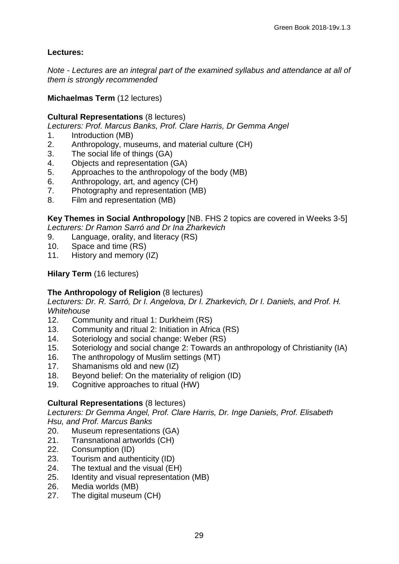# **Lectures:**

*Note - Lectures are an integral part of the examined syllabus and attendance at all of them is strongly recommended*

#### **Michaelmas Term** (12 lectures)

#### **Cultural Representations** (8 lectures)

*Lecturers: Prof. Marcus Banks, Prof. Clare Harris, Dr Gemma Angel*

- 1. Introduction (MB)<br>2. Anthropology. mu
- 2. Anthropology, museums, and material culture (CH)<br>3. The social life of things (GA)
- The social life of things (GA)
- 4. Objects and representation (GA)
- 5. Approaches to the anthropology of the body (MB)
- 6. Anthropology, art, and agency (CH)
- 7. Photography and representation (MB)
- 8. Film and representation (MB)

**Key Themes in Social Anthropology** [NB. FHS 2 topics are covered in Weeks 3-5] *Lecturers: Dr Ramon Sarró and Dr Ina Zharkevich*

- 9. Language, orality, and literacy (RS)
- 10. Space and time (RS)<br>11. History and memory (
- History and memory  $(IZ)$

# **Hilary Term** (16 lectures)

# **The Anthropology of Religion** (8 lectures)

*Lecturers: Dr. R. Sarró, Dr I. Angelova, Dr I. Zharkevich, Dr I. Daniels, and Prof. H. Whitehouse*

- 12. Community and ritual 1: Durkheim (RS)
- 13. Community and ritual 2: Initiation in Africa (RS)
- 14. Soteriology and social change: Weber (RS)<br>15. Soteriology and social change 2: Towards a
- Soteriology and social change 2: Towards an anthropology of Christianity (IA)
- 16. The anthropology of Muslim settings (MT)
- 17. Shamanisms old and new (IZ)
- 18. Beyond belief: On the materiality of religion (ID)
- 19. Cognitive approaches to ritual (HW)

#### **Cultural Representations** (8 lectures)

*Lecturers: Dr Gemma Angel, Prof. Clare Harris, Dr. Inge Daniels, Prof. Elisabeth Hsu, and Prof. Marcus Banks*

- 20. Museum representations (GA)
- 21. Transnational artworlds (CH)
- 22. Consumption (ID)
- 23. Tourism and authenticity (ID)
- 24. The textual and the visual (EH)
- 25. Identity and visual representation (MB)
- 26. Media worlds (MB)<br>27. The digital museum
- The digital museum (CH)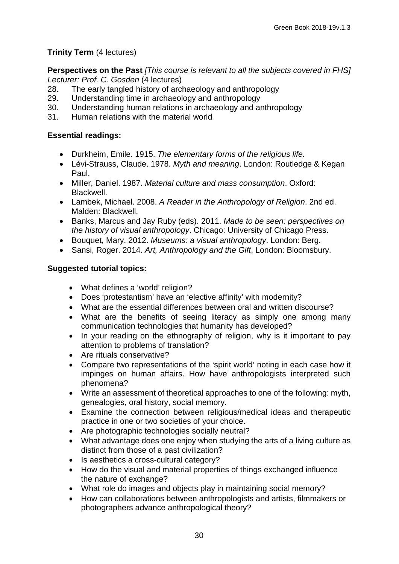# **Trinity Term** (4 lectures)

**Perspectives on the Past** *[This course is relevant to all the subjects covered in FHS] Lecturer: Prof. C. Gosden* (4 lectures)

- 28. The early tangled history of archaeology and anthropology
- 29. Understanding time in archaeology and anthropology<br>30. Understanding human relations in archaeology and ar
- Understanding human relations in archaeology and anthropology
- 31. Human relations with the material world

#### **Essential readings:**

- Durkheim, Emile. 1915. *The elementary forms of the religious life.*
- Lévi-Strauss, Claude. 1978. *Myth and meaning*. London: Routledge & Kegan Paul.
- Miller, Daniel. 1987. *Material culture and mass consumption*. Oxford: Blackwell.
- Lambek, Michael. 2008. *A Reader in the Anthropology of Religion*. 2nd ed. Malden: Blackwell.
- Banks, Marcus and Jay Ruby (eds). 2011. *Made to be seen: perspectives on the history of visual anthropology*. Chicago: University of Chicago Press.
- Bouquet, Mary. 2012. *Museums: a visual anthropology*. London: Berg.
- Sansi, Roger. 2014. *Art, Anthropology and the Gift*, London: Bloomsbury.

#### **Suggested tutorial topics:**

- What defines a 'world' religion?
- Does 'protestantism' have an 'elective affinity' with modernity?
- What are the essential differences between oral and written discourse?
- What are the benefits of seeing literacy as simply one among many communication technologies that humanity has developed?
- In your reading on the ethnography of religion, why is it important to pay attention to problems of translation?
- Are rituals conservative?
- Compare two representations of the 'spirit world' noting in each case how it impinges on human affairs. How have anthropologists interpreted such phenomena?
- Write an assessment of theoretical approaches to one of the following: myth, genealogies, oral history, social memory.
- Examine the connection between religious/medical ideas and therapeutic practice in one or two societies of your choice.
- Are photographic technologies socially neutral?
- What advantage does one enjoy when studying the arts of a living culture as distinct from those of a past civilization?
- Is aesthetics a cross-cultural category?
- How do the visual and material properties of things exchanged influence the nature of exchange?
- What role do images and objects play in maintaining social memory?
- How can collaborations between anthropologists and artists, filmmakers or photographers advance anthropological theory?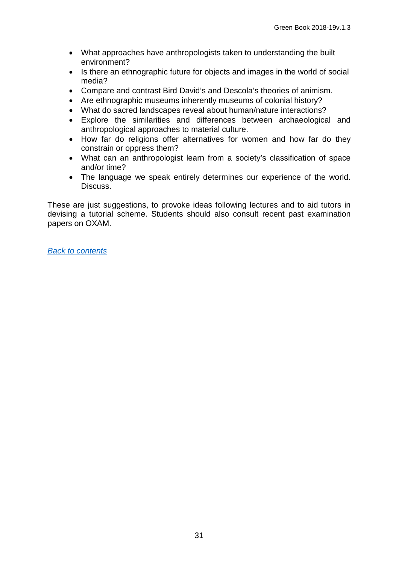- What approaches have anthropologists taken to understanding the built environment?
- Is there an ethnographic future for objects and images in the world of social media?
- Compare and contrast Bird David's and Descola's theories of animism.
- Are ethnographic museums inherently museums of colonial history?
- What do sacred landscapes reveal about human/nature interactions?
- Explore the similarities and differences between archaeological and anthropological approaches to material culture.
- How far do religions offer alternatives for women and how far do they constrain or oppress them?
- What can an anthropologist learn from a society's classification of space and/or time?
- The language we speak entirely determines our experience of the world. Discuss.

These are just suggestions, to provoke ideas following lectures and to aid tutors in devising a tutorial scheme. Students should also consult recent past examination papers on OXAM.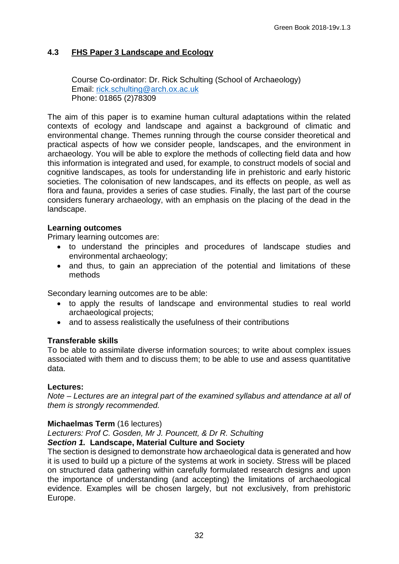# <span id="page-31-0"></span>**4.3 FHS Paper 3 Landscape and Ecology**

Course Co-ordinator: Dr. Rick Schulting (School of Archaeology) Email: [rick.schulting@arch.ox.ac.uk](mailto:rick.schulting@arch.ox.ac.uk) Phone: 01865 (2)78309

The aim of this paper is to examine human cultural adaptations within the related contexts of ecology and landscape and against a background of climatic and environmental change. Themes running through the course consider theoretical and practical aspects of how we consider people, landscapes, and the environment in archaeology. You will be able to explore the methods of collecting field data and how this information is integrated and used, for example, to construct models of social and cognitive landscapes, as tools for understanding life in prehistoric and early historic societies. The colonisation of new landscapes, and its effects on people, as well as flora and fauna, provides a series of case studies. Finally, the last part of the course considers funerary archaeology, with an emphasis on the placing of the dead in the landscape.

#### **Learning outcomes**

Primary learning outcomes are:

- to understand the principles and procedures of landscape studies and environmental archaeology;
- and thus, to gain an appreciation of the potential and limitations of these methods

Secondary learning outcomes are to be able:

- to apply the results of landscape and environmental studies to real world archaeological projects;
- and to assess realistically the usefulness of their contributions

#### **Transferable skills**

To be able to assimilate diverse information sources; to write about complex issues associated with them and to discuss them; to be able to use and assess quantitative data.

#### **Lectures:**

*Note – Lectures are an integral part of the examined syllabus and attendance at all of them is strongly recommended.*

#### **Michaelmas Term** (16 lectures)

*Lecturers: Prof C. Gosden, Mr J. Pouncett, & Dr R. Schulting* 

#### *Section 1.* **Landscape, Material Culture and Society**

The section is designed to demonstrate how archaeological data is generated and how it is used to build up a picture of the systems at work in society. Stress will be placed on structured data gathering within carefully formulated research designs and upon the importance of understanding (and accepting) the limitations of archaeological evidence. Examples will be chosen largely, but not exclusively, from prehistoric Europe.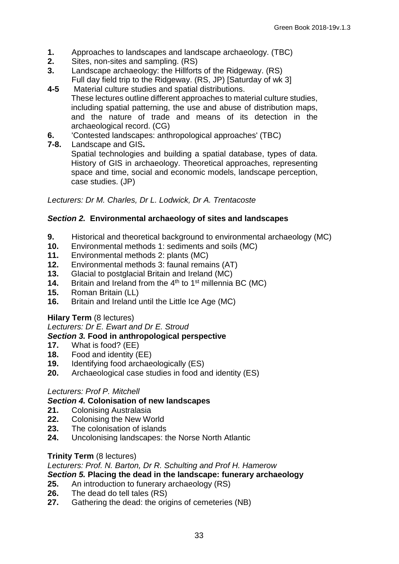- **1.** Approaches to landscapes and landscape archaeology. (TBC)
- **2.** Sites, non-sites and sampling. (RS)<br>**3.** Landscape archaeology: the Hillforts
- **3.** Landscape archaeology: the Hillforts of the Ridgeway. (RS) Full day field trip to the Ridgeway. (RS, JP) [Saturday of wk 3]<br>4-5 Material culture studies and spatial distributions.
- **4-5** Material culture studies and spatial distributions. These lectures outline different approaches to material culture studies, including spatial patterning, the use and abuse of distribution maps, and the nature of trade and means of its detection in the archaeological record. (CG)
- **6.** Contested landscapes: anthropological approaches' (TBC)<br>**7-8**. Landscape and GIS.
- **7-8.** Landscape and GIS**.**

Spatial technologies and building a spatial database, types of data. History of GIS in archaeology. Theoretical approaches, representing space and time, social and economic models, landscape perception, case studies. (JP)

*Lecturers: Dr M. Charles, Dr L. Lodwick, Dr A. Trentacoste*

#### *Section 2.* **Environmental archaeology of sites and landscapes**

- **9.** Historical and theoretical background to environmental archaeology (MC)<br>**10.** Environmental methods 1: sediments and soils (MC)
- **10.** Environmental methods 1: sediments and soils (MC)
- 11. Environmental methods 2: plants (MC)<br>**12.** Environmental methods 3: faunal rema
- **12.** Environmental methods 3: faunal remains (AT)
- **13.** Glacial to postglacial Britain and Ireland (MC)<br>**14.** Britain and Ireland from the 4<sup>th</sup> to 1<sup>st</sup> millennia
- **14.** Britain and Ireland from the 4<sup>th</sup> to 1<sup>st</sup> millennia BC (MC)<br>**15.** Roman Britain (LL)
- **15.** Roman Britain (LL)
- **16.** Britain and Ireland until the Little Ice Age (MC)

#### **Hilary Term** (8 lectures)

*Lecturers: Dr E. Ewart and Dr E. Stroud*

#### *Section 3.* **Food in anthropological perspective**

- **17.** What is food? (EE)
- **18.** Food and identity (EE)
- **19.** Identifying food archaeologically (ES)<br>**20.** Archaeological case studies in food ar
- **20.** Archaeological case studies in food and identity (ES)

#### *Lecturers: Prof P. Mitchell*

# *Section 4.* **Colonisation of new landscapes**

- **21.** Colonising Australasia
- **22.** Colonising the New World
- 23. The colonisation of islands<br>24. Uncolonising landscapes: t
- **24.** Uncolonising landscapes: the Norse North Atlantic

#### **Trinity Term** (8 lectures)

#### *Lecturers: Prof. N. Barton, Dr R. Schulting and Prof H. Hamerow*

#### *Section 5.* **Placing the dead in the landscape: funerary archaeology**

- **25.** An introduction to funerary archaeology (RS)
- **26.** The dead do tell tales (RS)<br>**27.** Gathering the dead: the oric
- **27.** Gathering the dead: the origins of cemeteries (NB)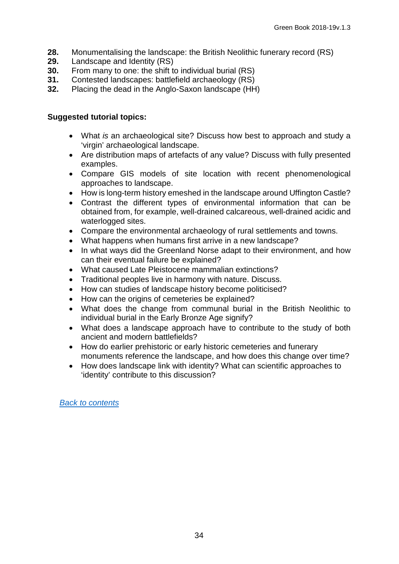- 28. Monumentalising the landscape: the British Neolithic funerary record (RS)<br>29. Landscape and Identity (RS)
- **29.** Landscape and Identity (RS)<br>**30.** From many to one: the shift to
- **30.** From many to one: the shift to individual burial (RS)<br>**31.** Contested landscapes: battlefield archaeology (RS)
- **31.** Contested landscapes: battlefield archaeology (RS)
- **32.** Placing the dead in the Anglo-Saxon landscape (HH)

#### **Suggested tutorial topics:**

- What *is* an archaeological site? Discuss how best to approach and study a 'virgin' archaeological landscape.
- Are distribution maps of artefacts of any value? Discuss with fully presented examples.
- Compare GIS models of site location with recent phenomenological approaches to landscape.
- How is long-term history emeshed in the landscape around Uffington Castle?
- Contrast the different types of environmental information that can be obtained from, for example, well-drained calcareous, well-drained acidic and waterlogged sites.
- Compare the environmental archaeology of rural settlements and towns.
- What happens when humans first arrive in a new landscape?
- In what ways did the Greenland Norse adapt to their environment, and how can their eventual failure be explained?
- What caused Late Pleistocene mammalian extinctions?
- Traditional peoples live in harmony with nature. Discuss.
- How can studies of landscape history become politicised?
- How can the origins of cemeteries be explained?
- What does the change from communal burial in the British Neolithic to individual burial in the Early Bronze Age signify?
- What does a landscape approach have to contribute to the study of both ancient and modern battlefields?
- How do earlier prehistoric or early historic cemeteries and funerary monuments reference the landscape, and how does this change over time?
- How does landscape link with identity? What can scientific approaches to 'identity' contribute to this discussion?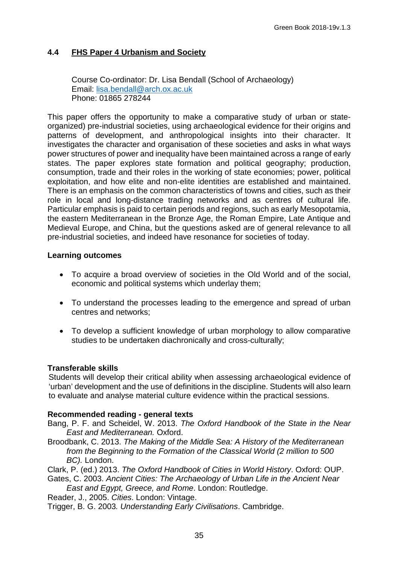# <span id="page-34-0"></span>**4.4 FHS Paper 4 Urbanism and Society**

Course Co-ordinator: Dr. Lisa Bendall (School of Archaeology) Email: lisa.bendall@arch.ox.ac.uk Phone: 01865 278244

This paper offers the opportunity to make a comparative study of urban or stateorganized) pre-industrial societies, using archaeological evidence for their origins and patterns of development, and anthropological insights into their character. It investigates the character and organisation of these societies and asks in what ways power structures of power and inequality have been maintained across a range of early states. The paper explores state formation and political geography; production, consumption, trade and their roles in the working of state economies; power, political exploitation, and how elite and non-elite identities are established and maintained. There is an emphasis on the common characteristics of towns and cities, such as their role in local and long-distance trading networks and as centres of cultural life. Particular emphasis is paid to certain periods and regions, such as early Mesopotamia, the eastern Mediterranean in the Bronze Age, the Roman Empire, Late Antique and Medieval Europe, and China, but the questions asked are of general relevance to all pre-industrial societies, and indeed have resonance for societies of today.

#### **Learning outcomes**

- To acquire a broad overview of societies in the Old World and of the social, economic and political systems which underlay them;
- To understand the processes leading to the emergence and spread of urban centres and networks;
- To develop a sufficient knowledge of urban morphology to allow comparative studies to be undertaken diachronically and cross-culturally;

#### **Transferable skills**

Students will develop their critical ability when assessing archaeological evidence of 'urban' development and the use of definitions in the discipline. Students will also learn to evaluate and analyse material culture evidence within the practical sessions.

#### **Recommended reading - general texts**

- Bang, P. F. and Scheidel, W. 2013. *The Oxford Handbook of the State in the Near East and Mediterranean.* Oxford.
- Broodbank, C. 2013. *The Making of the Middle Sea: A History of the Mediterranean from the Beginning to the Formation of the Classical World (2 million to 500 BC).* London.

Clark, P. (ed.) 2013. *The Oxford Handbook of Cities in World History*. Oxford: OUP.

Gates, C. 2003. *Ancient Cities: The Archaeology of Urban Life in the Ancient Near East and Egypt, Greece, and Rome*. London: Routledge.

Reader, J., 2005. *Cities*. London: Vintage.

Trigger, B. G. 2003*. Understanding Early Civilisations*. Cambridge.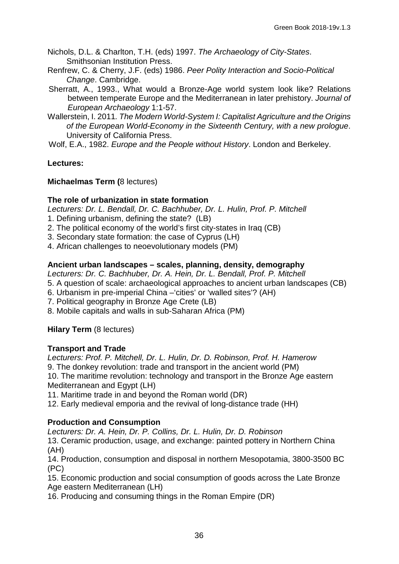Nichols, D.L. & Charlton, T.H. (eds) 1997. *The Archaeology of City-States*. Smithsonian Institution Press.

- Renfrew, C. & Cherry, J.F. (eds) 1986. *Peer Polity Interaction and Socio-Political Change*. Cambridge.
- Sherratt, A., 1993., What would a Bronze-Age world system look like? Relations between temperate Europe and the Mediterranean in later prehistory. *Journal of European Archaeology* 1:1-57.
- Wallerstein, I. 2011*. The Modern World-System I: Capitalist Agriculture and the Origins of the European World-Economy in the Sixteenth Century, with a new prologue*. University of California Press.

Wolf, E.A., 1982. *Europe and the People without History*. London and Berkeley.

# **Lectures:**

#### **Michaelmas Term (**8 lectures)

#### **The role of urbanization in state formation**

*Lecturers: Dr. L. Bendall, Dr. C. Bachhuber, Dr. L. Hulin, Prof. P. Mitchell* 

- 1. Defining urbanism, defining the state? (LB)
- 2. The political economy of the world's first city-states in Iraq (CB)
- 3. Secondary state formation: the case of Cyprus (LH)
- 4. African challenges to neoevolutionary models (PM)

# **Ancient urban landscapes – scales, planning, density, demography**

*Lecturers: Dr. C. Bachhuber, Dr. A. Hein, Dr. L. Bendall, Prof. P. Mitchell*

- 5. A question of scale: archaeological approaches to ancient urban landscapes (CB)
- 6. Urbanism in pre-imperial China –'cities' or 'walled sites'? (AH)
- 7. Political geography in Bronze Age Crete (LB)
- 8. Mobile capitals and walls in sub-Saharan Africa (PM)

# **Hilary Term** (8 lectures)

# **Transport and Trade**

*Lecturers: Prof. P. Mitchell, Dr. L. Hulin, Dr. D. Robinson, Prof. H. Hamerow* 9. The donkey revolution: trade and transport in the ancient world (PM) 10. The maritime revolution: technology and transport in the Bronze Age eastern Mediterranean and Egypt (LH)

11. Maritime trade in and beyond the Roman world (DR)

12. Early medieval emporia and the revival of long-distance trade (HH)

# **Production and Consumption**

*Lecturers: Dr. A. Hein, Dr. P. Collins, Dr. L. Hulin, Dr. D. Robinson*

13. Ceramic production, usage, and exchange: painted pottery in Northern China (AH)

14. Production, consumption and disposal in northern Mesopotamia, 3800-3500 BC (PC)

15. Economic production and social consumption of goods across the Late Bronze Age eastern Mediterranean (LH)

16. Producing and consuming things in the Roman Empire (DR)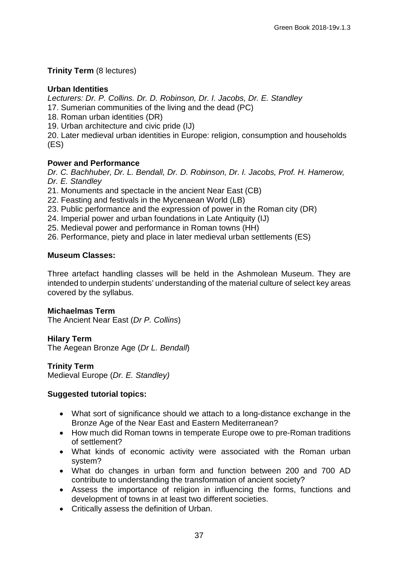## **Trinity Term** (8 lectures)

## **Urban Identities**

*Lecturers: Dr. P. Collins. Dr. D. Robinson, Dr. I. Jacobs, Dr. E. Standley*

- 17. Sumerian communities of the living and the dead (PC)
- 18. Roman urban identities (DR)
- 19. Urban architecture and civic pride (IJ)

20. Later medieval urban identities in Europe: religion, consumption and households (ES)

## **Power and Performance**

*Dr. C. Bachhuber, Dr. L. Bendall, Dr. D. Robinson, Dr. I. Jacobs, Prof. H. Hamerow, Dr. E. Standley*

21. Monuments and spectacle in the ancient Near East (CB)

- 22. Feasting and festivals in the Mycenaean World (LB)
- 23. Public performance and the expression of power in the Roman city (DR)
- 24. Imperial power and urban foundations in Late Antiquity (IJ)
- 25. Medieval power and performance in Roman towns (HH)
- 26. Performance, piety and place in later medieval urban settlements (ES)

#### **Museum Classes:**

Three artefact handling classes will be held in the Ashmolean Museum. They are intended to underpin students' understanding of the material culture of select key areas covered by the syllabus.

## **Michaelmas Term**

The Ancient Near East (*Dr P. Collins*)

## **Hilary Term**

The Aegean Bronze Age (*Dr L. Bendall*)

#### **Trinity Term**

Medieval Europe (*Dr. E. Standley)*

#### **Suggested tutorial topics:**

- What sort of significance should we attach to a long-distance exchange in the Bronze Age of the Near East and Eastern Mediterranean?
- How much did Roman towns in temperate Europe owe to pre-Roman traditions of settlement?
- What kinds of economic activity were associated with the Roman urban system?
- What do changes in urban form and function between 200 and 700 AD contribute to understanding the transformation of ancient society?
- Assess the importance of religion in influencing the forms, functions and development of towns in at least two different societies.
- Critically assess the definition of Urban.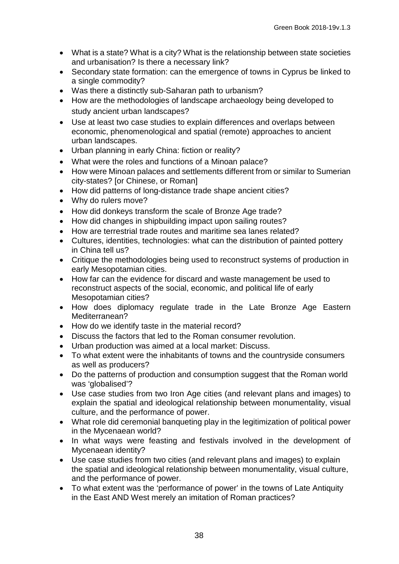- What is a state? What is a city? What is the relationship between state societies and urbanisation? Is there a necessary link?
- Secondary state formation: can the emergence of towns in Cyprus be linked to a single commodity?
- Was there a distinctly sub-Saharan path to urbanism?
- How are the methodologies of landscape archaeology being developed to study ancient urban landscapes?
- Use at least two case studies to explain differences and overlaps between economic, phenomenological and spatial (remote) approaches to ancient urban landscapes.
- Urban planning in early China: fiction or reality?
- What were the roles and functions of a Minoan palace?
- How were Minoan palaces and settlements different from or similar to Sumerian city-states? [or Chinese, or Roman]
- How did patterns of long-distance trade shape ancient cities?
- Why do rulers move?
- How did donkeys transform the scale of Bronze Age trade?
- How did changes in shipbuilding impact upon sailing routes?
- How are terrestrial trade routes and maritime sea lanes related?
- Cultures, identities, technologies: what can the distribution of painted pottery in China tell us?
- Critique the methodologies being used to reconstruct systems of production in early Mesopotamian cities.
- How far can the evidence for discard and waste management be used to reconstruct aspects of the social, economic, and political life of early Mesopotamian cities?
- How does diplomacy regulate trade in the Late Bronze Age Eastern Mediterranean?
- How do we identify taste in the material record?
- Discuss the factors that led to the Roman consumer revolution.
- Urban production was aimed at a local market: Discuss.
- To what extent were the inhabitants of towns and the countryside consumers as well as producers?
- Do the patterns of production and consumption suggest that the Roman world was 'globalised'?
- Use case studies from two Iron Age cities (and relevant plans and images) to explain the spatial and ideological relationship between monumentality, visual culture, and the performance of power.
- What role did ceremonial banqueting play in the legitimization of political power in the Mycenaean world?
- In what ways were feasting and festivals involved in the development of Mycenaean identity?
- Use case studies from two cities (and relevant plans and images) to explain the spatial and ideological relationship between monumentality, visual culture, and the performance of power.
- To what extent was the 'performance of power' in the towns of Late Antiquity in the East AND West merely an imitation of Roman practices?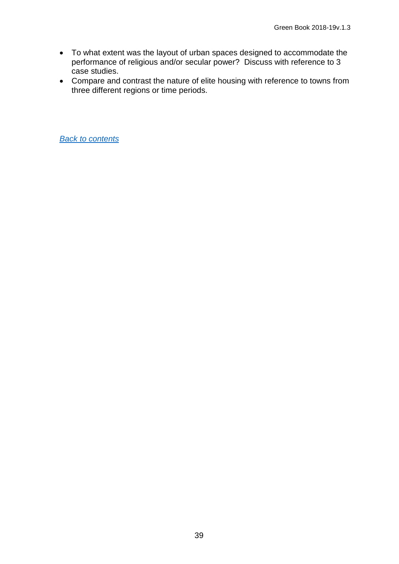- To what extent was the layout of urban spaces designed to accommodate the performance of religious and/or secular power? Discuss with reference to 3 case studies.
- Compare and contrast the nature of elite housing with reference to towns from three different regions or time periods.

*[Back to contents](#page-4-0)*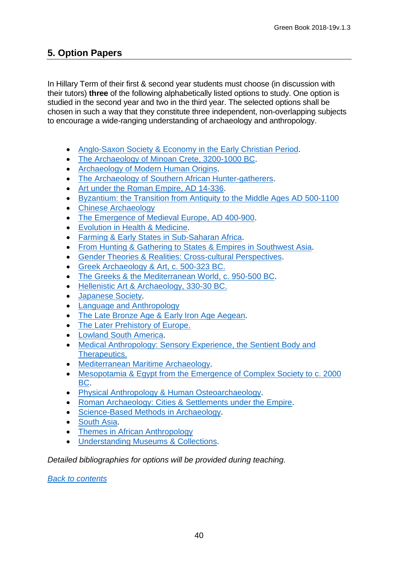# <span id="page-39-1"></span>**5. Option Papers**

In Hillary Term of their first & second year students must choose (in discussion with their tutors) **three** of the following alphabetically listed options to study. One option is studied in the second year and two in the third year. The selected options shall be chosen in such a way that they constitute three independent, non-overlapping subjects to encourage a wide-ranging understanding of archaeology and anthropology.

- [Anglo-Saxon Society & Economy in the Early](#page-39-0) Christian Period.
- [The Archaeology of Minoan Crete, 3200-1000 BC.](#page-40-0)
- [Archaeology of Modern Human Origins.](#page-43-0)
- [The Archaeology of Southern African Hunter-gatherers.](#page-44-0)
- [Art under the Roman Empire, AD 14-336.](#page-46-0)
- [Byzantium: the Transition from Antiquity to the Middle Ages AD 500-1100](#page-47-0)
- Chinese Archaeology
- [The Emergence of Medieval Europe, AD 400-900.](#page-49-0)
- [Evolution in Health & Medicine.](#page-53-0)
- [Farming & Early States in Sub-Saharan Africa.](#page-54-0)
- [From Hunting & Gathering to States & Empires in Southwest Asia.](#page-55-0)
- [Gender Theories & Realities: Cross-cultural Perspectives.](#page-55-1)
- [Greek Archaeology & Art, c. 500-323 BC.](#page-56-0)
- [The Greeks & the Mediterranean World, c. 950-500 BC.](#page-58-0)
- [Hellenistic Art & Archaeology, 330-30 BC.](#page-59-0)
- [Japanese Society.](#page-60-0)
- [Language and Anthropology](#page-61-0)
- [The Late Bronze Age & Early Iron Age Aegean.](#page-62-0)
- The Later Prehistory of Europe.
- [Lowland South America.](#page-65-0)
- Medical Anthropology: Sensory Experience, the Sentient Body and [Therapeutics.](#page-67-0)
- [Mediterranean Maritime Archaeology.](#page-69-0)
- [Mesopotamia & Egypt from the Emergence of Complex Society to c. 2000](#page-71-0)  [BC.](#page-71-0)
- [Physical Anthropology & Human Osteoarchaeology.](#page-72-0)
- [Roman Archaeology: Cities & Settlements under the Empire.](#page-73-0)
- [Science-Based Methods in Archaeology.](#page-76-0)
- [South Asia.](#page-79-0)
- [Themes in African Anthropology](#page-80-0)
- [Understanding Museums & Collections.](#page-80-0)

*Detailed bibliographies for options will be provided during teaching.*

<span id="page-39-0"></span>*[Back to contents](#page-4-0)*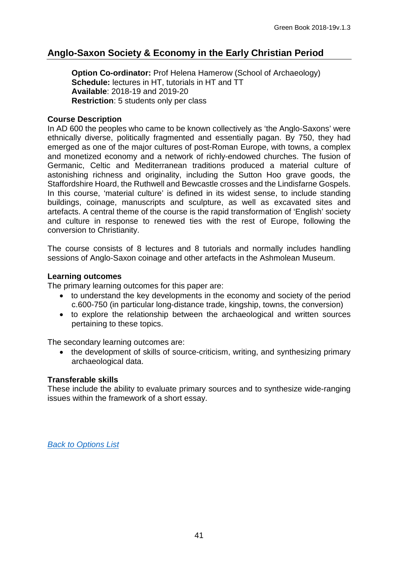# **Anglo-Saxon Society & Economy in the Early Christian Period**

**Option Co-ordinator:** Prof Helena Hamerow (School of Archaeology) **Schedule:** lectures in HT, tutorials in HT and TT **Available**: 2018-19 and 2019-20 **Restriction**: 5 students only per class

## **Course Description**

In AD 600 the peoples who came to be known collectively as 'the Anglo-Saxons' were ethnically diverse, politically fragmented and essentially pagan. By 750, they had emerged as one of the major cultures of post-Roman Europe, with towns, a complex and monetized economy and a network of richly-endowed churches. The fusion of Germanic, Celtic and Mediterranean traditions produced a material culture of astonishing richness and originality, including the Sutton Hoo grave goods, the Staffordshire Hoard, the Ruthwell and Bewcastle crosses and the Lindisfarne Gospels. In this course, 'material culture' is defined in its widest sense, to include standing buildings, coinage, manuscripts and sculpture, as well as excavated sites and artefacts. A central theme of the course is the rapid transformation of 'English' society and culture in response to renewed ties with the rest of Europe, following the conversion to Christianity.

The course consists of 8 lectures and 8 tutorials and normally includes handling sessions of Anglo-Saxon coinage and other artefacts in the Ashmolean Museum.

## **Learning outcomes**

The primary learning outcomes for this paper are:

- to understand the key developments in the economy and society of the period c.600-750 (in particular long-distance trade, kingship, towns, the conversion)
- to explore the relationship between the archaeological and written sources pertaining to these topics.

The secondary learning outcomes are:

• the development of skills of source-criticism, writing, and synthesizing primary archaeological data.

## **Transferable skills**

<span id="page-40-0"></span>These include the ability to evaluate primary sources and to synthesize wide-ranging issues within the framework of a short essay.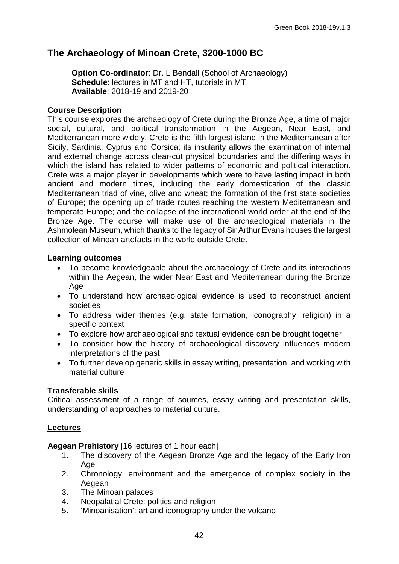# **The Archaeology of Minoan Crete, 3200-1000 BC**

**Option Co-ordinator**: Dr. L Bendall (School of Archaeology) **Schedule**: lectures in MT and HT, tutorials in MT **Available**: 2018-19 and 2019-20

## **Course Description**

This course explores the archaeology of Crete during the Bronze Age, a time of major social, cultural, and political transformation in the Aegean, Near East, and Mediterranean more widely. Crete is the fifth largest island in the Mediterranean after Sicily, Sardinia, Cyprus and Corsica; its insularity allows the examination of internal and external change across clear-cut physical boundaries and the differing ways in which the island has related to wider patterns of economic and political interaction. Crete was a major player in developments which were to have lasting impact in both ancient and modern times, including the early domestication of the classic Mediterranean triad of vine, olive and wheat; the formation of the first state societies of Europe; the opening up of trade routes reaching the western Mediterranean and temperate Europe; and the collapse of the international world order at the end of the Bronze Age. The course will make use of the archaeological materials in the Ashmolean Museum, which thanks to the legacy of Sir Arthur Evans houses the largest collection of Minoan artefacts in the world outside Crete.

## **Learning outcomes**

- To become knowledgeable about the archaeology of Crete and its interactions within the Aegean, the wider Near East and Mediterranean during the Bronze Age
- To understand how archaeological evidence is used to reconstruct ancient societies
- To address wider themes (e.g. state formation, iconography, religion) in a specific context
- To explore how archaeological and textual evidence can be brought together
- To consider how the history of archaeological discovery influences modern interpretations of the past
- To further develop generic skills in essay writing, presentation, and working with material culture

## **Transferable skills**

Critical assessment of a range of sources, essay writing and presentation skills, understanding of approaches to material culture.

## **Lectures**

**Aegean Prehistory** [16 lectures of 1 hour each]

- 1. The discovery of the Aegean Bronze Age and the legacy of the Early Iron Age
- 2. Chronology, environment and the emergence of complex society in the Aegean
- 3. The Minoan palaces
- 4. Neopalatial Crete: politics and religion<br>5. (Minoanisation': art and iconography un
- 'Minoanisation': art and iconography under the volcano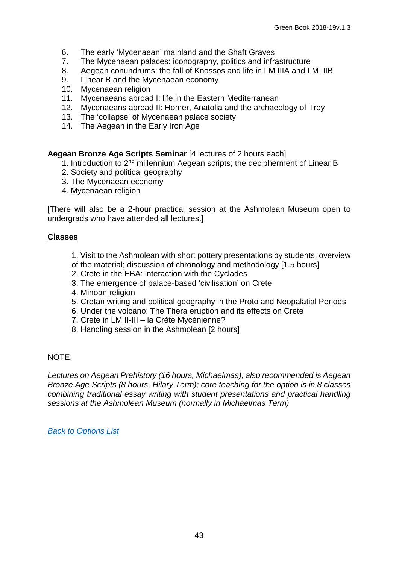- 6. The early 'Mycenaean' mainland and the Shaft Graves
- 7. The Mycenaean palaces: iconography, politics and infrastructure<br>8. Aegean conundrums: the fall of Knossos and life in LM IIIA and L
- 8. Aegean conundrums: the fall of Knossos and life in LM IIIA and LM IIIB<br>9. Linear B and the Mycenaean economy
- Linear B and the Mycenaean economy
- 10. Mycenaean religion
- 11. Mycenaeans abroad I: life in the Eastern Mediterranean
- 12. Mycenaeans abroad II: Homer, Anatolia and the archaeology of Troy
- 13. The 'collapse' of Mycenaean palace society
- 14. The Aegean in the Early Iron Age

**Aegean Bronze Age Scripts Seminar** [4 lectures of 2 hours each]

- 1. Introduction to 2<sup>nd</sup> millennium Aegean scripts; the decipherment of Linear B
- 2. Society and political geography
- 3. The Mycenaean economy
- 4. Mycenaean religion

[There will also be a 2-hour practical session at the Ashmolean Museum open to undergrads who have attended all lectures.]

#### **Classes**

- 1. Visit to the Ashmolean with short pottery presentations by students; overview
- of the material; discussion of chronology and methodology [1.5 hours]
- 2. Crete in the EBA: interaction with the Cyclades
- 3. The emergence of palace-based 'civilisation' on Crete
- 4. Minoan religion
- 5. Cretan writing and political geography in the Proto and Neopalatial Periods
- 6. Under the volcano: The Thera eruption and its effects on Crete
- 7. Crete in LM II-III la Crète Mycénienne?
- 8. Handling session in the Ashmolean [2 hours]

## NOTE:

*Lectures on Aegean Prehistory (16 hours, Michaelmas); also recommended is Aegean Bronze Age Scripts (8 hours, Hilary Term); core teaching for the option is in 8 classes combining traditional essay writing with student presentations and practical handling sessions at the Ashmolean Museum (normally in Michaelmas Term)*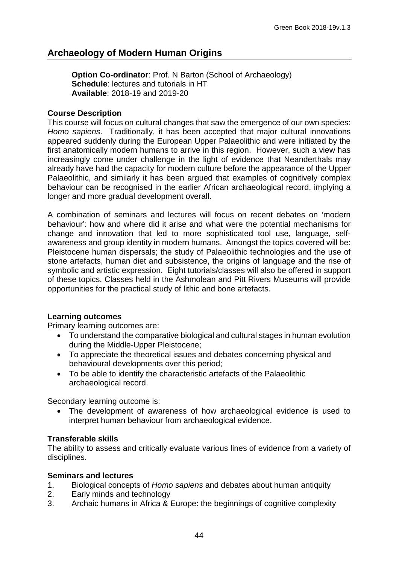# <span id="page-43-0"></span>**Archaeology of Modern Human Origins**

**Option Co-ordinator**: Prof. N Barton (School of Archaeology) **Schedule**: lectures and tutorials in HT **Available**: 2018-19 and 2019-20

## **Course Description**

This course will focus on cultural changes that saw the emergence of our own species: *Homo sapiens*. Traditionally, it has been accepted that major cultural innovations appeared suddenly during the European Upper Palaeolithic and were initiated by the first anatomically modern humans to arrive in this region. However, such a view has increasingly come under challenge in the light of evidence that Neanderthals may already have had the capacity for modern culture before the appearance of the Upper Palaeolithic, and similarly it has been argued that examples of cognitively complex behaviour can be recognised in the earlier African archaeological record, implying a longer and more gradual development overall.

A combination of seminars and lectures will focus on recent debates on 'modern behaviour': how and where did it arise and what were the potential mechanisms for change and innovation that led to more sophisticated tool use, language, selfawareness and group identity in modern humans. Amongst the topics covered will be: Pleistocene human dispersals; the study of Palaeolithic technologies and the use of stone artefacts, human diet and subsistence, the origins of language and the rise of symbolic and artistic expression. Eight tutorials/classes will also be offered in support of these topics. Classes held in the Ashmolean and Pitt Rivers Museums will provide opportunities for the practical study of lithic and bone artefacts.

## **Learning outcomes**

Primary learning outcomes are:

- To understand the comparative biological and cultural stages in human evolution during the Middle-Upper Pleistocene;
- To appreciate the theoretical issues and debates concerning physical and behavioural developments over this period;
- To be able to identify the characteristic artefacts of the Palaeolithic archaeological record.

Secondary learning outcome is:

The development of awareness of how archaeological evidence is used to interpret human behaviour from archaeological evidence.

## **Transferable skills**

The ability to assess and critically evaluate various lines of evidence from a variety of disciplines.

## **Seminars and lectures**

- 1. Biological concepts of *Homo sapiens* and debates about human antiquity
- 2. Early minds and technology
- 3. Archaic humans in Africa & Europe: the beginnings of cognitive complexity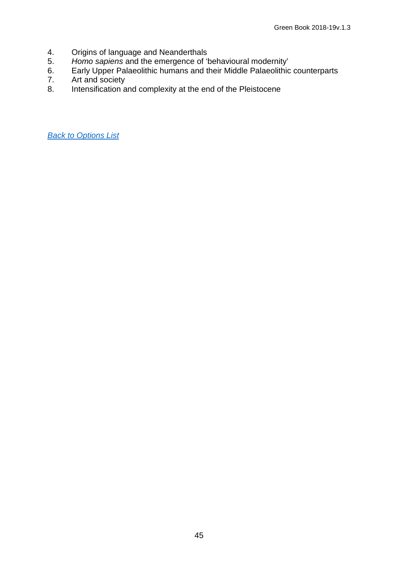- 4. Origins of language and Neanderthals<br>5. Homo sapiens and the emergence of 'l
- 5. *Homo sapiens* and the emergence of 'behavioural modernity'
- 6. Early Upper Palaeolithic humans and their Middle Palaeolithic counterparts
- 7. Art and society<br>8. Intensification a
- <span id="page-44-0"></span>Intensification and complexity at the end of the Pleistocene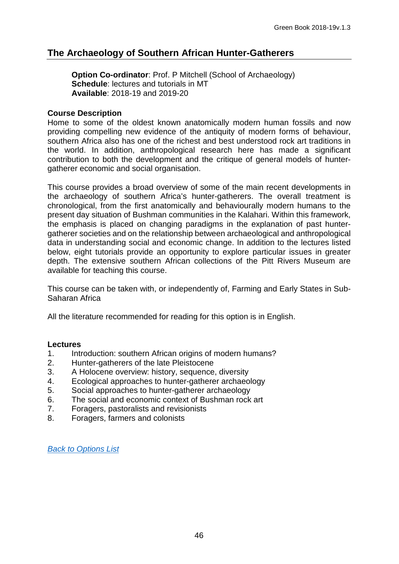# **The Archaeology of Southern African Hunter-Gatherers**

**Option Co-ordinator: Prof. P Mitchell (School of Archaeology) Schedule**: lectures and tutorials in MT **Available**: 2018-19 and 2019-20

## **Course Description**

Home to some of the oldest known anatomically modern human fossils and now providing compelling new evidence of the antiquity of modern forms of behaviour, southern Africa also has one of the richest and best understood rock art traditions in the world. In addition, anthropological research here has made a significant contribution to both the development and the critique of general models of huntergatherer economic and social organisation.

This course provides a broad overview of some of the main recent developments in the archaeology of southern Africa's hunter-gatherers. The overall treatment is chronological, from the first anatomically and behaviourally modern humans to the present day situation of Bushman communities in the Kalahari. Within this framework, the emphasis is placed on changing paradigms in the explanation of past huntergatherer societies and on the relationship between archaeological and anthropological data in understanding social and economic change. In addition to the lectures listed below, eight tutorials provide an opportunity to explore particular issues in greater depth. The extensive southern African collections of the Pitt Rivers Museum are available for teaching this course.

This course can be taken with, or independently of, Farming and Early States in Sub-Saharan Africa

All the literature recommended for reading for this option is in English.

#### **Lectures**

- 1. Introduction: southern African origins of modern humans?
- 2. Hunter-gatherers of the late Pleistocene<br>3. A Holocene overview: history, sequence.
- 3. A Holocene overview: history, sequence, diversity
- 4. Ecological approaches to hunter-gatherer archaeology
- 5. Social approaches to hunter-gatherer archaeology<br>6. The social and economic context of Bushman rock
- The social and economic context of Bushman rock art
- 7. Foragers, pastoralists and revisionists
- 8. Foragers, farmers and colonists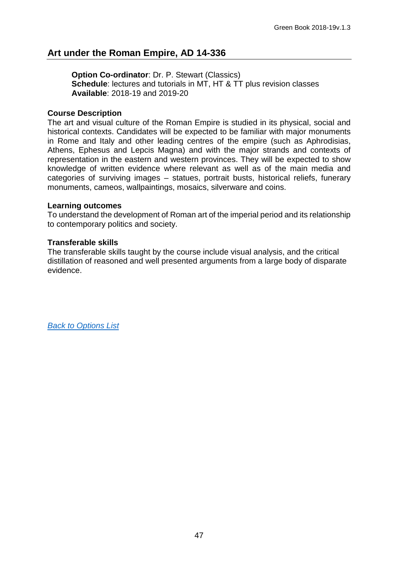# <span id="page-46-0"></span>**Art under the Roman Empire, AD 14-336**

**Option Co-ordinator**: Dr. P. Stewart (Classics) **Schedule**: lectures and tutorials in MT, HT & TT plus revision classes **Available**: 2018-19 and 2019-20

## **Course Description**

The art and visual culture of the Roman Empire is studied in its physical, social and historical contexts. Candidates will be expected to be familiar with major monuments in Rome and Italy and other leading centres of the empire (such as Aphrodisias, Athens, Ephesus and Lepcis Magna) and with the major strands and contexts of representation in the eastern and western provinces. They will be expected to show knowledge of written evidence where relevant as well as of the main media and categories of surviving images – statues, portrait busts, historical reliefs, funerary monuments, cameos, wallpaintings, mosaics, silverware and coins.

#### **Learning outcomes**

To understand the development of Roman art of the imperial period and its relationship to contemporary politics and society.

## **Transferable skills**

The transferable skills taught by the course include visual analysis, and the critical distillation of reasoned and well presented arguments from a large body of disparate evidence.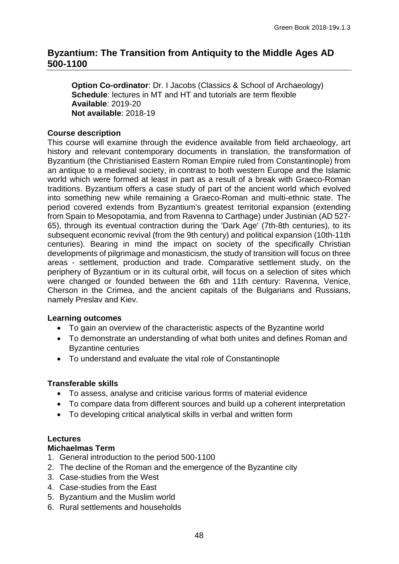# <span id="page-47-0"></span>**Byzantium: The Transition from Antiquity to the Middle Ages AD 500-1100**

**Option Co-ordinator**: Dr. I Jacobs (Classics & School of Archaeology) **Schedule**: lectures in MT and HT and tutorials are term flexible **Available**: 2019-20 **Not available**: 2018-19

## **Course description**

This course will examine through the evidence available from field archaeology, art history and relevant contemporary documents in translation, the transformation of Byzantium (the Christianised Eastern Roman Empire ruled from Constantinople) from an antique to a medieval society, in contrast to both western Europe and the Islamic world which were formed at least in part as a result of a break with Graeco-Roman traditions. Byzantium offers a case study of part of the ancient world which evolved into something new while remaining a Graeco-Roman and multi-ethnic state. The period covered extends from Byzantium's greatest territorial expansion (extending from Spain to Mesopotamia, and from Ravenna to Carthage) under Justinian (AD 527- 65), through its eventual contraction during the 'Dark Age' (7th-8th centuries), to its subsequent economic revival (from the 9th century) and political expansion (10th-11th centuries). Bearing in mind the impact on society of the specifically Christian developments of pilgrimage and monasticism, the study of transition will focus on three areas - settlement, production and trade. Comparative settlement study, on the periphery of Byzantium or in its cultural orbit, will focus on a selection of sites which were changed or founded between the 6th and 11th century: Ravenna, Venice, Cherson in the Crimea, and the ancient capitals of the Bulgarians and Russians, namely Preslav and Kiev.

## **Learning outcomes**

- To gain an overview of the characteristic aspects of the Byzantine world
- To demonstrate an understanding of what both unites and defines Roman and Byzantine centuries
- To understand and evaluate the vital role of Constantinople

## **Transferable skills**

- To assess, analyse and criticise various forms of material evidence
- To compare data from different sources and build up a coherent interpretation
- To developing critical analytical skills in verbal and written form

## **Lectures**

## **Michaelmas Term**

- 1. General introduction to the period 500-1100
- 2. The decline of the Roman and the emergence of the Byzantine city
- 3. Case-studies from the West
- 4. Case-studies from the East
- 5. Byzantium and the Muslim world
- 6. Rural settlements and households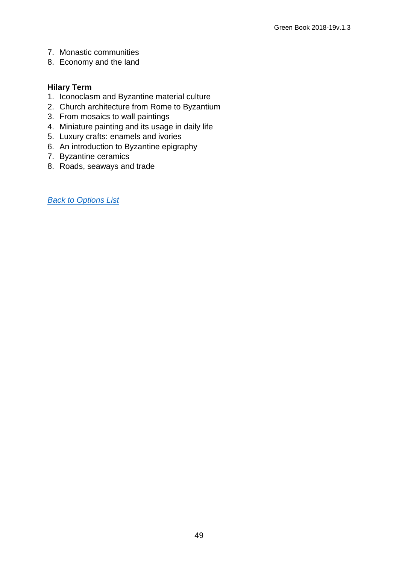- 7. Monastic communities
- 8. Economy and the land

## **Hilary Term**

- 1. Iconoclasm and Byzantine material culture
- 2. Church architecture from Rome to Byzantium
- 3. From mosaics to wall paintings
- 4. Miniature painting and its usage in daily life
- 5. Luxury crafts: enamels and ivories
- 6. An introduction to Byzantine epigraphy
- 7. Byzantine ceramics
- 8. Roads, seaways and trade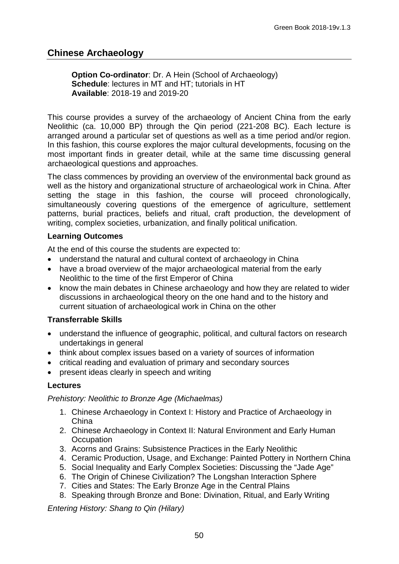# <span id="page-49-0"></span>**Chinese Archaeology**

**Option Co-ordinator:** Dr. A Hein (School of Archaeology) **Schedule**: lectures in MT and HT; tutorials in HT **Available**: 2018-19 and 2019-20

This course provides a survey of the archaeology of Ancient China from the early Neolithic (ca. 10,000 BP) through the Qin period (221-208 BC). Each lecture is arranged around a particular set of questions as well as a time period and/or region. In this fashion, this course explores the major cultural developments, focusing on the most important finds in greater detail, while at the same time discussing general archaeological questions and approaches.

The class commences by providing an overview of the environmental back ground as well as the history and organizational structure of archaeological work in China. After setting the stage in this fashion, the course will proceed chronologically, simultaneously covering questions of the emergence of agriculture, settlement patterns, burial practices, beliefs and ritual, craft production, the development of writing, complex societies, urbanization, and finally political unification.

## **Learning Outcomes**

At the end of this course the students are expected to:

- understand the natural and cultural context of archaeology in China
- have a broad overview of the major archaeological material from the early Neolithic to the time of the first Emperor of China
- know the main debates in Chinese archaeology and how they are related to wider discussions in archaeological theory on the one hand and to the history and current situation of archaeological work in China on the other

## **Transferrable Skills**

- understand the influence of geographic, political, and cultural factors on research undertakings in general
- think about complex issues based on a variety of sources of information
- critical reading and evaluation of primary and secondary sources
- present ideas clearly in speech and writing

## **Lectures**

*Prehistory: Neolithic to Bronze Age (Michaelmas)*

- 1. Chinese Archaeology in Context I: History and Practice of Archaeology in China
- 2. Chinese Archaeology in Context II: Natural Environment and Early Human **Occupation**
- 3. Acorns and Grains: Subsistence Practices in the Early Neolithic
- 4. Ceramic Production, Usage, and Exchange: Painted Pottery in Northern China
- 5. Social Inequality and Early Complex Societies: Discussing the "Jade Age"
- 6. The Origin of Chinese Civilization? The Longshan Interaction Sphere
- 7. Cities and States: The Early Bronze Age in the Central Plains
- 8. Speaking through Bronze and Bone: Divination, Ritual, and Early Writing

*Entering History: Shang to Qin (Hilary)*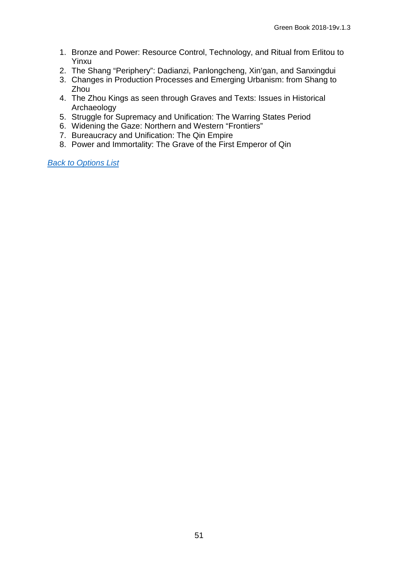- 1. Bronze and Power: Resource Control, Technology, and Ritual from Erlitou to Yinxu
- 2. The Shang "Periphery": Dadianzi, Panlongcheng, Xin'gan, and Sanxingdui
- 3. Changes in Production Processes and Emerging Urbanism: from Shang to Zhou
- 4. The Zhou Kings as seen through Graves and Texts: Issues in Historical Archaeology
- 5. Struggle for Supremacy and Unification: The Warring States Period
- 6. Widening the Gaze: Northern and Western "Frontiers"
- 7. Bureaucracy and Unification: The Qin Empire
- 8. Power and Immortality: The Grave of the First Emperor of Qin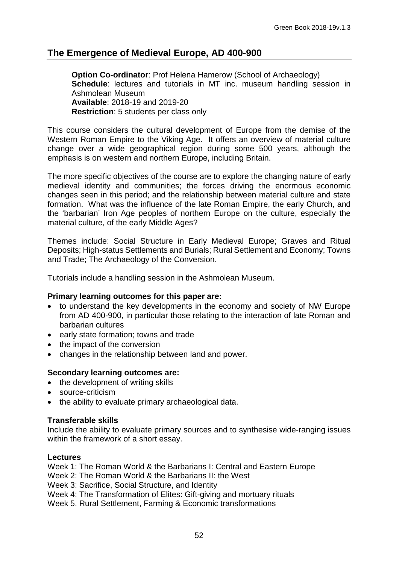# **The Emergence of Medieval Europe, AD 400-900**

**Option Co-ordinator: Prof Helena Hamerow (School of Archaeology) Schedule**: lectures and tutorials in MT inc. museum handling session in Ashmolean Museum **Available**: 2018-19 and 2019-20 **Restriction**: 5 students per class only

This course considers the cultural development of Europe from the demise of the Western Roman Empire to the Viking Age. It offers an overview of material culture change over a wide geographical region during some 500 years, although the emphasis is on western and northern Europe, including Britain.

The more specific objectives of the course are to explore the changing nature of early medieval identity and communities; the forces driving the enormous economic changes seen in this period; and the relationship between material culture and state formation. What was the influence of the late Roman Empire, the early Church, and the 'barbarian' Iron Age peoples of northern Europe on the culture, especially the material culture, of the early Middle Ages?

Themes include: Social Structure in Early Medieval Europe; Graves and Ritual Deposits; High-status Settlements and Burials; Rural Settlement and Economy; Towns and Trade; The Archaeology of the Conversion.

Tutorials include a handling session in the Ashmolean Museum.

## **Primary learning outcomes for this paper are:**

- to understand the key developments in the economy and society of NW Europe from AD 400-900, in particular those relating to the interaction of late Roman and barbarian cultures
- early state formation; towns and trade
- the impact of the conversion
- changes in the relationship between land and power.

## **Secondary learning outcomes are:**

- the development of writing skills
- source-criticism
- the ability to evaluate primary archaeological data.

## **Transferable skills**

Include the ability to evaluate primary sources and to synthesise wide-ranging issues within the framework of a short essay.

#### **Lectures**

Week 1: The Roman World & the Barbarians I: Central and Eastern Europe

Week 2: The Roman World & the Barbarians II: the West

Week 3: Sacrifice, Social Structure, and Identity

Week 4: The Transformation of Elites: Gift-giving and mortuary rituals

Week 5. Rural Settlement, Farming & Economic transformations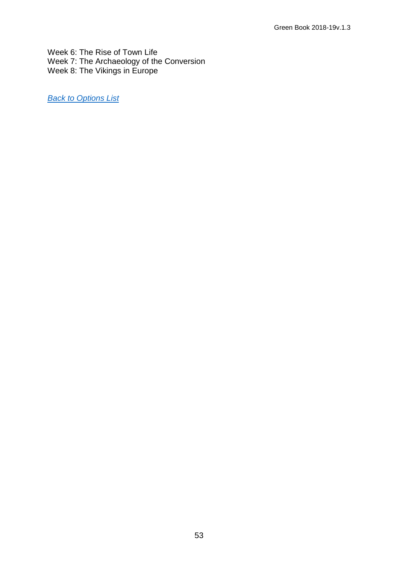Week 6: The Rise of Town Life Week 7: The Archaeology of the Conversion Week 8: The Vikings in Europe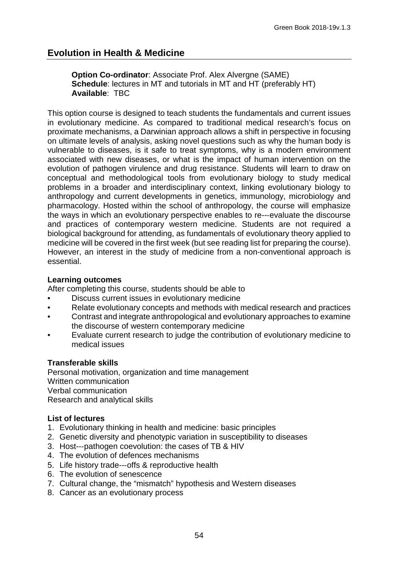<span id="page-53-0"></span>**Option Co-ordinator**: Associate Prof. Alex Alvergne (SAME) **Schedule**: lectures in MT and tutorials in MT and HT (preferably HT) **Available**: TBC

This option course is designed to teach students the fundamentals and current issues in evolutionary medicine. As compared to traditional medical research's focus on proximate mechanisms, a Darwinian approach allows a shift in perspective in focusing on ultimate levels of analysis, asking novel questions such as why the human body is vulnerable to diseases, is it safe to treat symptoms, why is a modern environment associated with new diseases, or what is the impact of human intervention on the evolution of pathogen virulence and drug resistance. Students will learn to draw on conceptual and methodological tools from evolutionary biology to study medical problems in a broader and interdisciplinary context, linking evolutionary biology to anthropology and current developments in genetics, immunology, microbiology and pharmacology. Hosted within the school of anthropology, the course will emphasize the ways in which an evolutionary perspective enables to re---evaluate the discourse and practices of contemporary western medicine. Students are not required a biological background for attending, as fundamentals of evolutionary theory applied to medicine will be covered in the first week (but see reading list for preparing the course). However, an interest in the study of medicine from a non-conventional approach is essential.

#### **Learning outcomes**

After completing this course, students should be able to

- Discuss current issues in evolutionary medicine
- Relate evolutionary concepts and methods with medical research and practices
- Contrast and integrate anthropological and evolutionary approaches to examine the discourse of western contemporary medicine
- Evaluate current research to judge the contribution of evolutionary medicine to medical issues

## **Transferable skills**

Personal motivation, organization and time management Written communication Verbal communication Research and analytical skills

## **List of lectures**

- 1. Evolutionary thinking in health and medicine: basic principles
- 2. Genetic diversity and phenotypic variation in susceptibility to diseases
- 3. Host--‐pathogen coevolution: the cases of TB & HIV
- 4. The evolution of defences mechanisms
- 5. Life history trade--‐offs & reproductive health
- 6. The evolution of senescence
- 7. Cultural change, the "mismatch" hypothesis and Western diseases
- 8. Cancer as an evolutionary process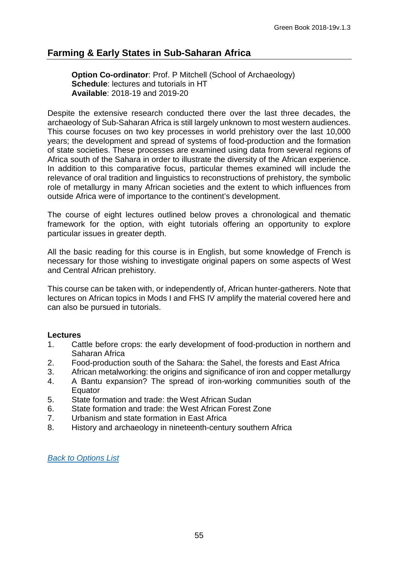# <span id="page-54-0"></span>**Farming & Early States in Sub-Saharan Africa**

**Option Co-ordinator**: Prof. P Mitchell (School of Archaeology) **Schedule**: lectures and tutorials in HT **Available**: 2018-19 and 2019-20

Despite the extensive research conducted there over the last three decades, the archaeology of Sub-Saharan Africa is still largely unknown to most western audiences. This course focuses on two key processes in world prehistory over the last 10,000 years; the development and spread of systems of food-production and the formation of state societies. These processes are examined using data from several regions of Africa south of the Sahara in order to illustrate the diversity of the African experience. In addition to this comparative focus, particular themes examined will include the relevance of oral tradition and linguistics to reconstructions of prehistory, the symbolic role of metallurgy in many African societies and the extent to which influences from outside Africa were of importance to the continent's development.

The course of eight lectures outlined below proves a chronological and thematic framework for the option, with eight tutorials offering an opportunity to explore particular issues in greater depth.

All the basic reading for this course is in English, but some knowledge of French is necessary for those wishing to investigate original papers on some aspects of West and Central African prehistory.

This course can be taken with, or independently of, African hunter-gatherers. Note that lectures on African topics in Mods I and FHS IV amplify the material covered here and can also be pursued in tutorials.

## **Lectures**

- 1. Cattle before crops: the early development of food-production in northern and Saharan Africa
- 2. Food-production south of the Sahara: the Sahel, the forests and East Africa<br>3. African metalworking: the origins and significance of iron and copper metallur
- African metalworking: the origins and significance of iron and copper metallurgy
- 4. A Bantu expansion? The spread of iron-working communities south of the Equator
- 5. State formation and trade: the West African Sudan
- 6. State formation and trade: the West African Forest Zone
- 7. Urbanism and state formation in East Africa
- 8. History and archaeology in nineteenth-century southern Africa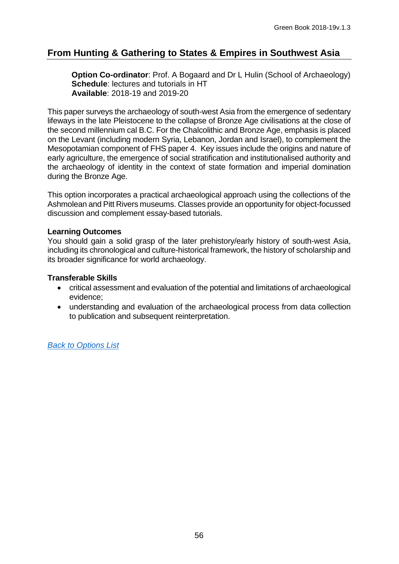# <span id="page-55-0"></span>**From Hunting & Gathering to States & Empires in Southwest Asia**

**Option Co-ordinator: Prof. A Bogaard and Dr L Hulin (School of Archaeology) Schedule**: lectures and tutorials in HT **Available**: 2018-19 and 2019-20

This paper surveys the archaeology of south-west Asia from the emergence of sedentary lifeways in the late Pleistocene to the collapse of Bronze Age civilisations at the close of the second millennium cal B.C. For the Chalcolithic and Bronze Age, emphasis is placed on the Levant (including modern Syria, Lebanon, Jordan and Israel), to complement the Mesopotamian component of FHS paper 4. Key issues include the origins and nature of early agriculture, the emergence of social stratification and institutionalised authority and the archaeology of identity in the context of state formation and imperial domination during the Bronze Age.

This option incorporates a practical archaeological approach using the collections of the Ashmolean and Pitt Rivers museums. Classes provide an opportunity for object-focussed discussion and complement essay-based tutorials.

## **Learning Outcomes**

You should gain a solid grasp of the later prehistory/early history of south-west Asia, including its chronological and culture-historical framework, the history of scholarship and its broader significance for world archaeology.

## **Transferable Skills**

- critical assessment and evaluation of the potential and limitations of archaeological evidence;
- <span id="page-55-1"></span>• understanding and evaluation of the archaeological process from data collection to publication and subsequent reinterpretation.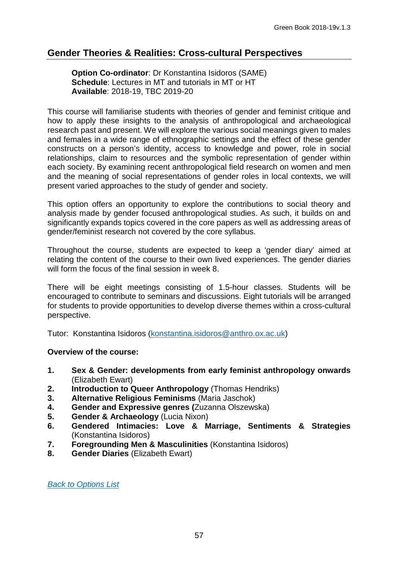# **Gender Theories & Realities: Cross-cultural Perspectives**

**Option Co-ordinator**: Dr Konstantina Isidoros (SAME) **Schedule**: Lectures in MT and tutorials in MT or HT **Available**: 2018-19, TBC 2019-20

This course will familiarise students with theories of gender and feminist critique and how to apply these insights to the analysis of anthropological and archaeological research past and present. We will explore the various social meanings given to males and females in a wide range of ethnographic settings and the effect of these gender constructs on a person's identity, access to knowledge and power, role in social relationships, claim to resources and the symbolic representation of gender within each society. By examining recent anthropological field research on women and men and the meaning of social representations of gender roles in local contexts, we will present varied approaches to the study of gender and society.

This option offers an opportunity to explore the contributions to social theory and analysis made by gender focused anthropological studies. As such, it builds on and significantly expands topics covered in the core papers as well as addressing areas of gender/feminist research not covered by the core syllabus.

Throughout the course, students are expected to keep a 'gender diary' aimed at relating the content of the course to their own lived experiences. The gender diaries will form the focus of the final session in week 8.

There will be eight meetings consisting of 1.5-hour classes. Students will be encouraged to contribute to seminars and discussions. Eight tutorials will be arranged for students to provide opportunities to develop diverse themes within a cross-cultural perspective.

Tutor: Konstantina Isidoros [\(konstantina.isidoros@anthro.ox.ac.uk\)](mailto:konstantina.isidoros@anthro.ox.ac.uk)

## **Overview of the course:**

- **1. Sex & Gender: developments from early feminist anthropology onwards**  (Elizabeth Ewart)
- **2. Introduction to Queer Anthropology** (Thomas Hendriks)
- **3. Alternative Religious Feminisms** (Maria Jaschok)
- **4. Gender and Expressive genres (**Zuzanna Olszewska)
- **5. Gender & Archaeology** (Lucia Nixon)
- **6. Gendered Intimacies: Love & Marriage, Sentiments & Strategies**  (Konstantina Isidoros)
- **7. Foregrounding Men & Masculinities** (Konstantina Isidoros)
- <span id="page-56-0"></span>**8. Gender Diaries** (Elizabeth Ewart)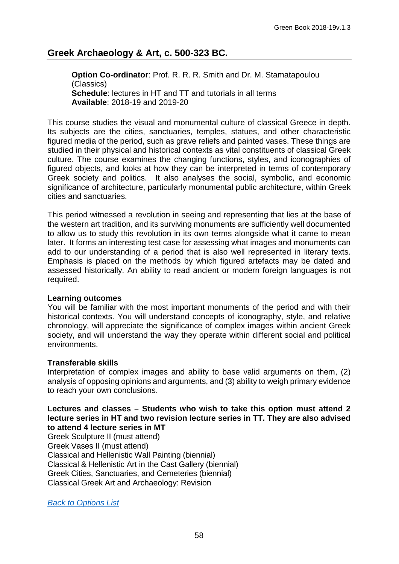# **Greek Archaeology & Art, c. 500-323 BC.**

**Option Co-ordinator**: Prof. R. R. R. Smith and Dr. M. Stamatapoulou (Classics) **Schedule**: lectures in HT and TT and tutorials in all terms **Available**: 2018-19 and 2019-20

This course studies the visual and monumental culture of classical Greece in depth. Its subjects are the cities, sanctuaries, temples, statues, and other characteristic figured media of the period, such as grave reliefs and painted vases. These things are studied in their physical and historical contexts as vital constituents of classical Greek culture. The course examines the changing functions, styles, and iconographies of figured objects, and looks at how they can be interpreted in terms of contemporary Greek society and politics. It also analyses the social, symbolic, and economic significance of architecture, particularly monumental public architecture, within Greek cities and sanctuaries.

This period witnessed a revolution in seeing and representing that lies at the base of the western art tradition, and its surviving monuments are sufficiently well documented to allow us to study this revolution in its own terms alongside what it came to mean later. It forms an interesting test case for assessing what images and monuments can add to our understanding of a period that is also well represented in literary texts. Emphasis is placed on the methods by which figured artefacts may be dated and assessed historically. An ability to read ancient or modern foreign languages is not required.

#### **Learning outcomes**

You will be familiar with the most important monuments of the period and with their historical contexts. You will understand concepts of iconography, style, and relative chronology, will appreciate the significance of complex images within ancient Greek society, and will understand the way they operate within different social and political environments.

## **Transferable skills**

Interpretation of complex images and ability to base valid arguments on them, (2) analysis of opposing opinions and arguments, and (3) ability to weigh primary evidence to reach your own conclusions.

#### **Lectures and classes – Students who wish to take this option must attend 2 lecture series in HT and two revision lecture series in TT. They are also advised to attend 4 lecture series in MT**

Greek Sculpture II (must attend) Greek Vases II (must attend) Classical and Hellenistic Wall Painting (biennial) Classical & Hellenistic Art in the Cast Gallery (biennial) Greek Cities, Sanctuaries, and Cemeteries (biennial) Classical Greek Art and Archaeology: Revision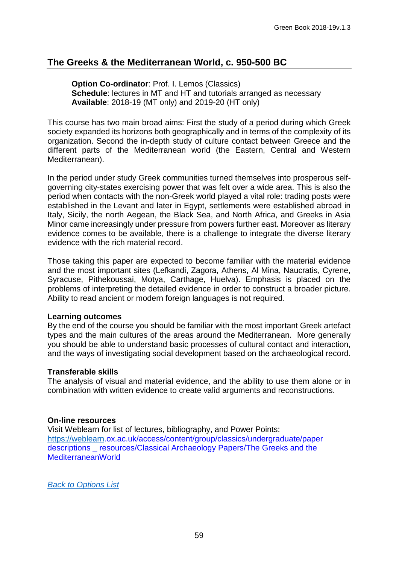# <span id="page-58-0"></span>**The Greeks & the Mediterranean World, c. 950-500 BC**

**Option Co-ordinator**: Prof. I. Lemos (Classics) **Schedule**: lectures in MT and HT and tutorials arranged as necessary **Available**: 2018-19 (MT only) and 2019-20 (HT only)

This course has two main broad aims: First the study of a period during which Greek society expanded its horizons both geographically and in terms of the complexity of its organization. Second the in-depth study of culture contact between Greece and the different parts of the Mediterranean world (the Eastern, Central and Western Mediterranean).

In the period under study Greek communities turned themselves into prosperous selfgoverning city-states exercising power that was felt over a wide area. This is also the period when contacts with the non-Greek world played a vital role: trading posts were established in the Levant and later in Egypt, settlements were established abroad in Italy, Sicily, the north Aegean, the Black Sea, and North Africa, and Greeks in Asia Minor came increasingly under pressure from powers further east. Moreover as literary evidence comes to be available, there is a challenge to integrate the diverse literary evidence with the rich material record.

Those taking this paper are expected to become familiar with the material evidence and the most important sites (Lefkandi, Zagora, Athens, Al Mina, Naucratis, Cyrene, Syracuse, Pithekoussai, Motya, Carthage, Huelva). Emphasis is placed on the problems of interpreting the detailed evidence in order to construct a broader picture. Ability to read ancient or modern foreign languages is not required.

## **Learning outcomes**

By the end of the course you should be familiar with the most important Greek artefact types and the main cultures of the areas around the Mediterranean. More generally you should be able to understand basic processes of cultural contact and interaction, and the ways of investigating social development based on the archaeological record.

## **Transferable skills**

The analysis of visual and material evidence, and the ability to use them alone or in combination with written evidence to create valid arguments and reconstructions.

## **On-line resources**

Visit Weblearn for list of lectures, bibliography, and Power Points: [https://weblearn.](https://weblearn/)ox.ac.uk/access/content/group/classics/undergraduate/paper descriptions \_ resources/Classical Archaeology Papers/The Greeks and the MediterraneanWorld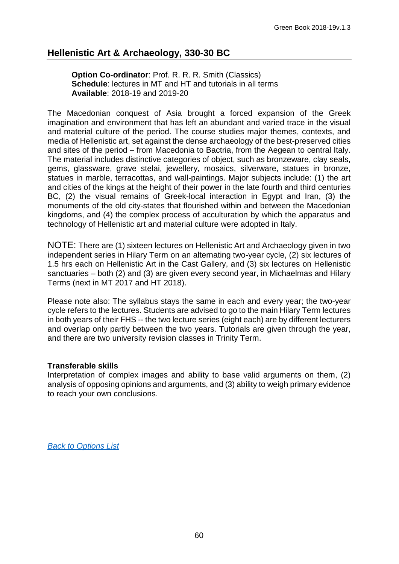# <span id="page-59-0"></span>**Hellenistic Art & Archaeology, 330-30 BC**

#### **Option Co-ordinator: Prof. R. R. R. Smith (Classics) Schedule**: lectures in MT and HT and tutorials in all terms **Available**: 2018-19 and 2019-20

The Macedonian conquest of Asia brought a forced expansion of the Greek imagination and environment that has left an abundant and varied trace in the visual and material culture of the period. The course studies major themes, contexts, and media of Hellenistic art, set against the dense archaeology of the best-preserved cities and sites of the period – from Macedonia to Bactria, from the Aegean to central Italy. The material includes distinctive categories of object, such as bronzeware, clay seals, gems, glassware, grave stelai, jewellery, mosaics, silverware, statues in bronze, statues in marble, terracottas, and wall-paintings. Major subjects include: (1) the art and cities of the kings at the height of their power in the late fourth and third centuries BC, (2) the visual remains of Greek-local interaction in Egypt and Iran, (3) the monuments of the old city-states that flourished within and between the Macedonian kingdoms, and (4) the complex process of acculturation by which the apparatus and technology of Hellenistic art and material culture were adopted in Italy.

NOTE: There are (1) sixteen lectures on Hellenistic Art and Archaeology given in two independent series in Hilary Term on an alternating two-year cycle, (2) six lectures of 1.5 hrs each on Hellenistic Art in the Cast Gallery, and (3) six lectures on Hellenistic sanctuaries – both (2) and (3) are given every second year, in Michaelmas and Hilary Terms (next in MT 2017 and HT 2018).

Please note also: The syllabus stays the same in each and every year; the two-year cycle refers to the lectures. Students are advised to go to the main Hilary Term lectures in both years of their FHS -- the two lecture series (eight each) are by different lecturers and overlap only partly between the two years. Tutorials are given through the year, and there are two university revision classes in Trinity Term.

#### **Transferable skills**

Interpretation of complex images and ability to base valid arguments on them, (2) analysis of opposing opinions and arguments, and (3) ability to weigh primary evidence to reach your own conclusions.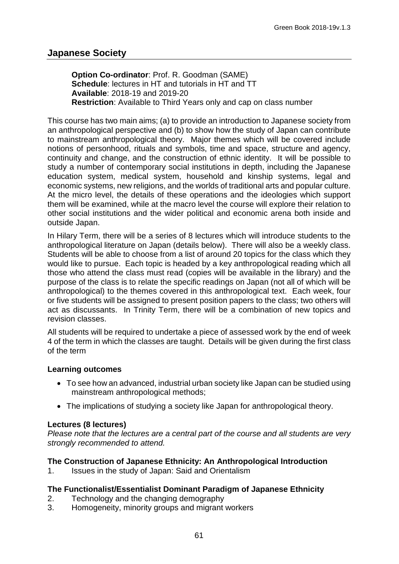# <span id="page-60-0"></span>**Japanese Society**

**Option Co-ordinator**: Prof. R. Goodman (SAME) **Schedule**: lectures in HT and tutorials in HT and TT **Available**: 2018-19 and 2019-20 **Restriction**: Available to Third Years only and cap on class number

This course has two main aims; (a) to provide an introduction to Japanese society from an anthropological perspective and (b) to show how the study of Japan can contribute to mainstream anthropological theory. Major themes which will be covered include notions of personhood, rituals and symbols, time and space, structure and agency, continuity and change, and the construction of ethnic identity. It will be possible to study a number of contemporary social institutions in depth, including the Japanese education system, medical system, household and kinship systems, legal and economic systems, new religions, and the worlds of traditional arts and popular culture. At the micro level, the details of these operations and the ideologies which support them will be examined, while at the macro level the course will explore their relation to other social institutions and the wider political and economic arena both inside and outside Japan.

In Hilary Term, there will be a series of 8 lectures which will introduce students to the anthropological literature on Japan (details below). There will also be a weekly class. Students will be able to choose from a list of around 20 topics for the class which they would like to pursue. Each topic is headed by a key anthropological reading which all those who attend the class must read (copies will be available in the library) and the purpose of the class is to relate the specific readings on Japan (not all of which will be anthropological) to the themes covered in this anthropological text. Each week, four or five students will be assigned to present position papers to the class; two others will act as discussants. In Trinity Term, there will be a combination of new topics and revision classes.

All students will be required to undertake a piece of assessed work by the end of week 4 of the term in which the classes are taught. Details will be given during the first class of the term

## **Learning outcomes**

- To see how an advanced, industrial urban society like Japan can be studied using mainstream anthropological methods;
- The implications of studying a society like Japan for anthropological theory.

## **Lectures (8 lectures)**

*Please note that the lectures are a central part of the course and all students are very strongly recommended to attend.*

## **The Construction of Japanese Ethnicity: An Anthropological Introduction**

1. Issues in the study of Japan: Said and Orientalism

## **The Functionalist/Essentialist Dominant Paradigm of Japanese Ethnicity**

- 2. Technology and the changing demography
- 3. Homogeneity, minority groups and migrant workers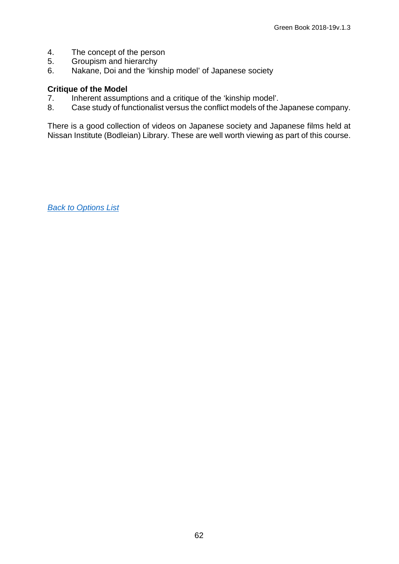- 4. The concept of the person<br>5. Groupism and hierarchy
- 5. Groupism and hierarchy<br>6. Nakane. Doi and the 'kin
- Nakane, Doi and the 'kinship model' of Japanese society

- **Critique of the Model**<br>7. Inherent assump 7. Inherent assumptions and a critique of the 'kinship model'.<br>8. Case study of functionalist versus the conflict models of the.
- Case study of functionalist versus the conflict models of the Japanese company.

<span id="page-61-0"></span>There is a good collection of videos on Japanese society and Japanese films held at Nissan Institute (Bodleian) Library. These are well worth viewing as part of this course.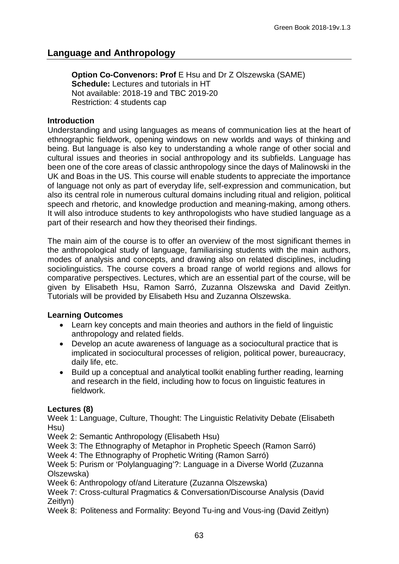# **Language and Anthropology**

**Option Co-Convenors: Prof E Hsu and Dr Z Olszewska (SAME) Schedule:** Lectures and tutorials in HT Not available: 2018-19 and TBC 2019-20 Restriction: 4 students cap

#### **Introduction**

Understanding and using languages as means of communication lies at the heart of ethnographic fieldwork, opening windows on new worlds and ways of thinking and being. But language is also key to understanding a whole range of other social and cultural issues and theories in social anthropology and its subfields. Language has been one of the core areas of classic anthropology since the days of Malinowski in the UK and Boas in the US. This course will enable students to appreciate the importance of language not only as part of everyday life, self-expression and communication, but also its central role in numerous cultural domains including ritual and religion, political speech and rhetoric, and knowledge production and meaning-making, among others. It will also introduce students to key anthropologists who have studied language as a part of their research and how they theorised their findings.

The main aim of the course is to offer an overview of the most significant themes in the anthropological study of language, familiarising students with the main authors, modes of analysis and concepts, and drawing also on related disciplines, including sociolinguistics. The course covers a broad range of world regions and allows for comparative perspectives. Lectures, which are an essential part of the course, will be given by Elisabeth Hsu, Ramon Sarró, Zuzanna Olszewska and David Zeitlyn. Tutorials will be provided by Elisabeth Hsu and Zuzanna Olszewska.

## **Learning Outcomes**

- Learn key concepts and main theories and authors in the field of linguistic anthropology and related fields.
- Develop an acute awareness of language as a sociocultural practice that is implicated in sociocultural processes of religion, political power, bureaucracy, daily life, etc.
- Build up a conceptual and analytical toolkit enabling further reading, learning and research in the field, including how to focus on linguistic features in fieldwork.

## **Lectures (8)**

Week 1: Language, Culture, Thought: The Linguistic Relativity Debate (Elisabeth Hsu)

Week 2: Semantic Anthropology (Elisabeth Hsu)

Week 3: The Ethnography of Metaphor in Prophetic Speech (Ramon Sarró)

Week 4: The Ethnography of Prophetic Writing (Ramon Sarró)

Week 5: Purism or 'Polylanguaging'?: Language in a Diverse World (Zuzanna Olszewska)

Week 6: Anthropology of/and Literature (Zuzanna Olszewska)

Week 7: Cross-cultural Pragmatics & Conversation/Discourse Analysis (David Zeitlyn)

<span id="page-62-0"></span>Week 8: Politeness and Formality: Beyond Tu-ing and Vous-ing (David Zeitlyn)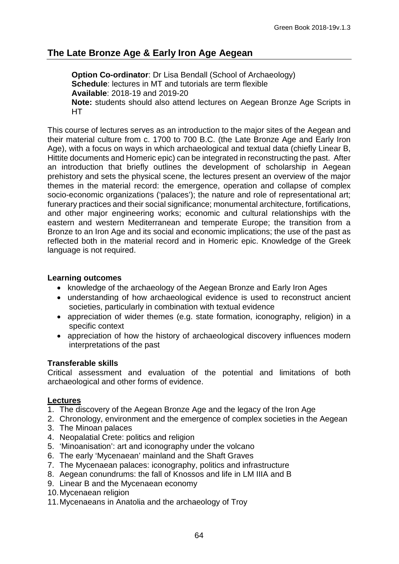# **The Late Bronze Age & Early Iron Age Aegean**

**Option Co-ordinator:** Dr Lisa Bendall (School of Archaeology) **Schedule**: lectures in MT and tutorials are term flexible **Available**: 2018-19 and 2019-20 **Note:** students should also attend lectures on Aegean Bronze Age Scripts in HT

This course of lectures serves as an introduction to the major sites of the Aegean and their material culture from c. 1700 to 700 B.C. (the Late Bronze Age and Early Iron Age), with a focus on ways in which archaeological and textual data (chiefly Linear B, Hittite documents and Homeric epic) can be integrated in reconstructing the past. After an introduction that briefly outlines the development of scholarship in Aegean prehistory and sets the physical scene, the lectures present an overview of the major themes in the material record: the emergence, operation and collapse of complex socio-economic organizations ('palaces'); the nature and role of representational art; funerary practices and their social significance; monumental architecture, fortifications, and other major engineering works; economic and cultural relationships with the eastern and western Mediterranean and temperate Europe; the transition from a Bronze to an Iron Age and its social and economic implications; the use of the past as reflected both in the material record and in Homeric epic. Knowledge of the Greek language is not required.

## **Learning outcomes**

- knowledge of the archaeology of the Aegean Bronze and Early Iron Ages
- understanding of how archaeological evidence is used to reconstruct ancient societies, particularly in combination with textual evidence
- appreciation of wider themes (e.g. state formation, iconography, religion) in a specific context
- appreciation of how the history of archaeological discovery influences modern interpretations of the past

## **Transferable skills**

Critical assessment and evaluation of the potential and limitations of both archaeological and other forms of evidence.

## **Lectures**

- 1. The discovery of the Aegean Bronze Age and the legacy of the Iron Age
- 2. Chronology, environment and the emergence of complex societies in the Aegean
- 3. The Minoan palaces
- 4. Neopalatial Crete: politics and religion
- 5. 'Minoanisation': art and iconography under the volcano
- 6. The early 'Mycenaean' mainland and the Shaft Graves
- 7. The Mycenaean palaces: iconography, politics and infrastructure
- 8. Aegean conundrums: the fall of Knossos and life in LM IIIA and B
- 9. Linear B and the Mycenaean economy
- 10.Mycenaean religion
- 11.Mycenaeans in Anatolia and the archaeology of Troy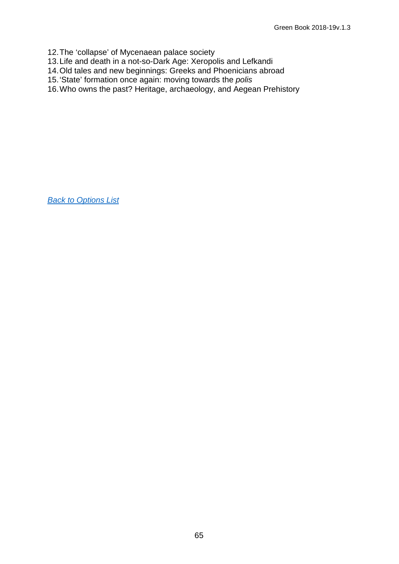- 12.The 'collapse' of Mycenaean palace society
- 13.Life and death in a not-so-Dark Age: Xeropolis and Lefkandi
- 14.Old tales and new beginnings: Greeks and Phoenicians abroad
- 15.'State' formation once again: moving towards the *polis*
- 16.Who owns the past? Heritage, archaeology, and Aegean Prehistory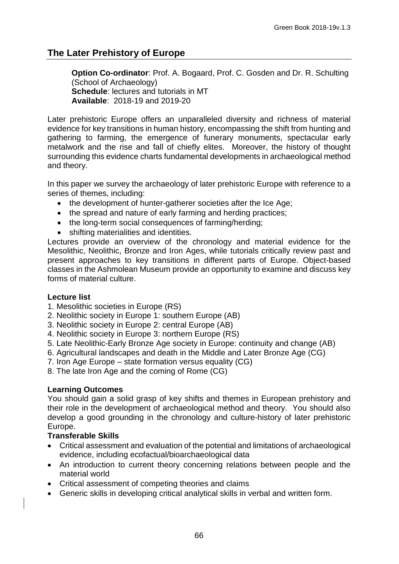# <span id="page-65-0"></span>**The Later Prehistory of Europe**

**Option Co-ordinator**: Prof. A. Bogaard, Prof. C. Gosden and Dr. R. Schulting (School of Archaeology) **Schedule**: lectures and tutorials in MT **Available**: 2018-19 and 2019-20

Later prehistoric Europe offers an unparalleled diversity and richness of material evidence for key transitions in human history, encompassing the shift from hunting and gathering to farming, the emergence of funerary monuments, spectacular early metalwork and the rise and fall of chiefly elites. Moreover, the history of thought surrounding this evidence charts fundamental developments in archaeological method and theory.

In this paper we survey the archaeology of later prehistoric Europe with reference to a series of themes, including:

- the development of hunter-gatherer societies after the Ice Age;
- the spread and nature of early farming and herding practices;
- the long-term social consequences of farming/herding;
- shifting materialities and identities.

Lectures provide an overview of the chronology and material evidence for the Mesolithic, Neolithic, Bronze and Iron Ages, while tutorials critically review past and present approaches to key transitions in different parts of Europe. Object-based classes in the Ashmolean Museum provide an opportunity to examine and discuss key forms of material culture.

## **Lecture list**

- 1. Mesolithic societies in Europe (RS)
- 2. Neolithic society in Europe 1: southern Europe (AB)
- 3. Neolithic society in Europe 2: central Europe (AB)
- 4. Neolithic society in Europe 3: northern Europe (RS)
- 5. Late Neolithic-Early Bronze Age society in Europe: continuity and change (AB)
- 6. Agricultural landscapes and death in the Middle and Later Bronze Age (CG)
- 7. Iron Age Europe state formation versus equality (CG)
- 8. The late Iron Age and the coming of Rome (CG)

## **Learning Outcomes**

You should gain a solid grasp of key shifts and themes in European prehistory and their role in the development of archaeological method and theory. You should also develop a good grounding in the chronology and culture-history of later prehistoric Europe.

#### **Transferable Skills**

- Critical assessment and evaluation of the potential and limitations of archaeological evidence, including ecofactual/bioarchaeological data
- An introduction to current theory concerning relations between people and the material world
- Critical assessment of competing theories and claims
- Generic skills in developing critical analytical skills in verbal and written form.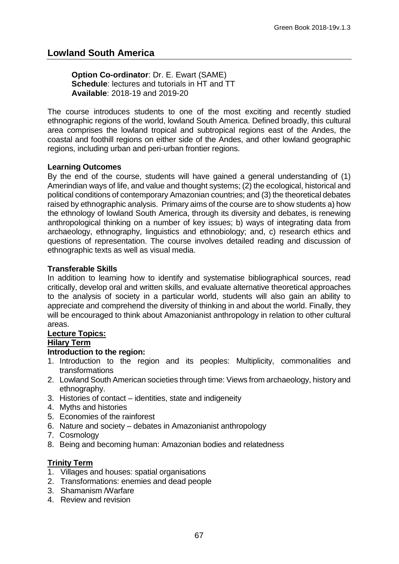# **Lowland South America**

**Option Co-ordinator**: Dr. E. Ewart (SAME) **Schedule**: lectures and tutorials in HT and TT **Available**: 2018-19 and 2019-20

The course introduces students to one of the most exciting and recently studied ethnographic regions of the world, lowland South America. Defined broadly, this cultural area comprises the lowland tropical and subtropical regions east of the Andes, the coastal and foothill regions on either side of the Andes, and other lowland geographic regions, including urban and peri-urban frontier regions.

#### **Learning Outcomes**

By the end of the course, students will have gained a general understanding of (1) Amerindian ways of life, and value and thought systems; (2) the ecological, historical and political conditions of contemporary Amazonian countries; and (3) the theoretical debates raised by ethnographic analysis. Primary aims of the course are to show students a) how the ethnology of lowland South America, through its diversity and debates, is renewing anthropological thinking on a number of key issues; b) ways of integrating data from archaeology, ethnography, linguistics and ethnobiology; and, c) research ethics and questions of representation. The course involves detailed reading and discussion of ethnographic texts as well as visual media.

#### **Transferable Skills**

In addition to learning how to identify and systematise bibliographical sources, read critically, develop oral and written skills, and evaluate alternative theoretical approaches to the analysis of society in a particular world, students will also gain an ability to appreciate and comprehend the diversity of thinking in and about the world. Finally, they will be encouraged to think about Amazonianist anthropology in relation to other cultural areas.

## **Lecture Topics:**

#### **Hilary Term**

#### **Introduction to the region:**

- 1. Introduction to the region and its peoples: Multiplicity, commonalities and transformations
- 2. Lowland South American societies through time: Views from archaeology, history and ethnography.
- 3. Histories of contact identities, state and indigeneity
- 4. Myths and histories
- 5. Economies of the rainforest
- 6. Nature and society debates in Amazonianist anthropology
- 7. Cosmology
- 8. Being and becoming human: Amazonian bodies and relatedness

## **Trinity Term**

- 1. Villages and houses: spatial organisations
- 2. Transformations: enemies and dead people
- 3. Shamanism /Warfare
- 4. Review and revision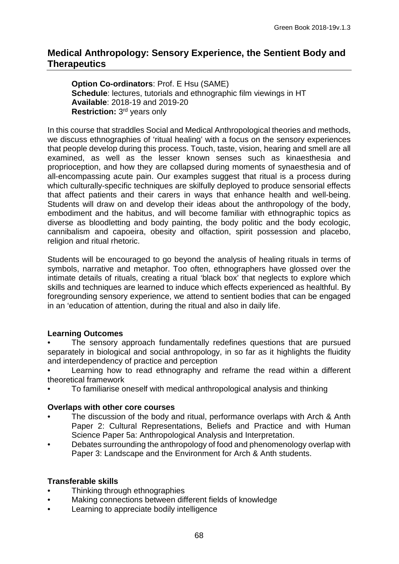# <span id="page-67-0"></span>**Medical Anthropology: Sensory Experience, the Sentient Body and Therapeutics**

**Option Co-ordinators**: Prof. E Hsu (SAME) **Schedule**: lectures, tutorials and ethnographic film viewings in HT **Available**: 2018-19 and 2019-20 **Restriction:** 3rd years only

In this course that straddles Social and Medical Anthropological theories and methods, we discuss ethnographies of 'ritual healing' with a focus on the sensory experiences that people develop during this process. Touch, taste, vision, hearing and smell are all examined, as well as the lesser known senses such as kinaesthesia and proprioception, and how they are collapsed during moments of synaesthesia and of all-encompassing acute pain. Our examples suggest that ritual is a process during which culturally-specific techniques are skilfully deployed to produce sensorial effects that affect patients and their carers in ways that enhance health and well-being. Students will draw on and develop their ideas about the anthropology of the body, embodiment and the habitus, and will become familiar with ethnographic topics as diverse as bloodletting and body painting, the body politic and the body ecologic, cannibalism and capoeira, obesity and olfaction, spirit possession and placebo, religion and ritual rhetoric.

Students will be encouraged to go beyond the analysis of healing rituals in terms of symbols, narrative and metaphor. Too often, ethnographers have glossed over the intimate details of rituals, creating a ritual 'black box' that neglects to explore which skills and techniques are learned to induce which effects experienced as healthful. By foregrounding sensory experience, we attend to sentient bodies that can be engaged in an 'education of attention, during the ritual and also in daily life.

## **Learning Outcomes**

- The sensory approach fundamentally redefines questions that are pursued separately in biological and social anthropology, in so far as it highlights the fluidity and interdependency of practice and perception
- Learning how to read ethnography and reframe the read within a different theoretical framework
- To familiarise oneself with medical anthropological analysis and thinking

## **Overlaps with other core courses**

- The discussion of the body and ritual, performance overlaps with Arch & Anth Paper 2: Cultural Representations, Beliefs and Practice and with Human Science Paper 5a: Anthropological Analysis and Interpretation.
- Debates surrounding the anthropology of food and phenomenology overlap with Paper 3: Landscape and the Environment for Arch & Anth students.

## **Transferable skills**

- Thinking through ethnographies
- Making connections between different fields of knowledge
- Learning to appreciate bodily intelligence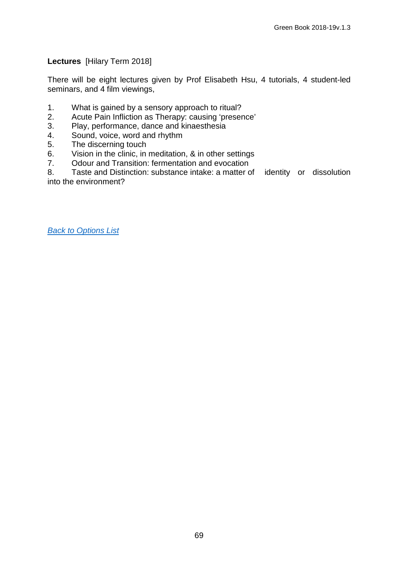## **Lectures** [Hilary Term 2018]

There will be eight lectures given by Prof Elisabeth Hsu, 4 tutorials, 4 student-led seminars, and 4 film viewings,

- 1. What is gained by a sensory approach to ritual?<br>2. Acute Pain Infliction as Therapy: causing 'preser
- Acute Pain Infliction as Therapy: causing 'presence'
- 3. Play, performance, dance and kinaesthesia<br>4. Sound. voice. word and rhythm
- 4. Sound, voice, word and rhythm<br>5. The discerning touch
- 5. The discerning touch<br>6. Vision in the clinic. in
- 6. Vision in the clinic, in meditation, & in other settings<br>7. Odour and Transition: fermentation and evocation
- 7. Odour and Transition: fermentation and evocation<br>8. Taste and Distinction: substance intake: a matter o

Taste and Distinction: substance intake: a matter of identity or dissolution into the environment?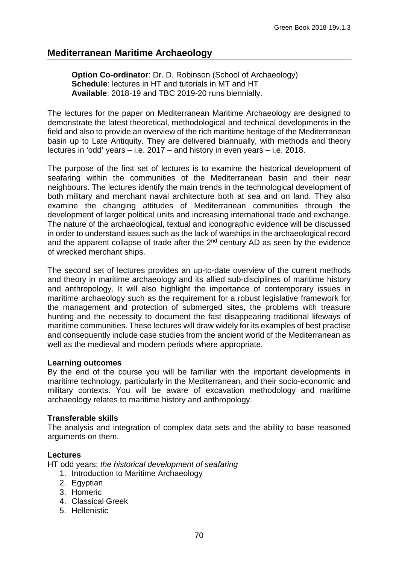# <span id="page-69-0"></span>**Mediterranean Maritime Archaeology**

**Option Co-ordinator: Dr. D. Robinson (School of Archaeology) Schedule**: lectures in HT and tutorials in MT and HT **Available**: 2018-19 and TBC 2019-20 runs biennially.

The lectures for the paper on Mediterranean Maritime Archaeology are designed to demonstrate the latest theoretical, methodological and technical developments in the field and also to provide an overview of the rich maritime heritage of the Mediterranean basin up to Late Antiquity. They are delivered biannually, with methods and theory lectures in 'odd' years – i.e. 2017 – and history in even years – i.e. 2018.

The purpose of the first set of lectures is to examine the historical development of seafaring within the communities of the Mediterranean basin and their near neighbours. The lectures identify the main trends in the technological development of both military and merchant naval architecture both at sea and on land. They also examine the changing attitudes of Mediterranean communities through the development of larger political units and increasing international trade and exchange. The nature of the archaeological, textual and iconographic evidence will be discussed in order to understand issues such as the lack of warships in the archaeological record and the apparent collapse of trade after the  $2<sup>nd</sup>$  century AD as seen by the evidence of wrecked merchant ships.

The second set of lectures provides an up-to-date overview of the current methods and theory in maritime archaeology and its allied sub-disciplines of maritime history and anthropology. It will also highlight the importance of contemporary issues in maritime archaeology such as the requirement for a robust legislative framework for the management and protection of submerged sites, the problems with treasure hunting and the necessity to document the fast disappearing traditional lifeways of maritime communities. These lectures will draw widely for its examples of best practise and consequently include case studies from the ancient world of the Mediterranean as well as the medieval and modern periods where appropriate.

## **Learning outcomes**

By the end of the course you will be familiar with the important developments in maritime technology, particularly in the Mediterranean, and their socio-economic and military contexts. You will be aware of excavation methodology and maritime archaeology relates to maritime history and anthropology.

## **Transferable skills**

The analysis and integration of complex data sets and the ability to base reasoned arguments on them.

## **Lectures**

HT odd years: *the historical development of seafaring*

- 1. Introduction to Maritime Archaeology
- 2. Egyptian
- 3. Homeric
- 4. Classical Greek
- 5. Hellenistic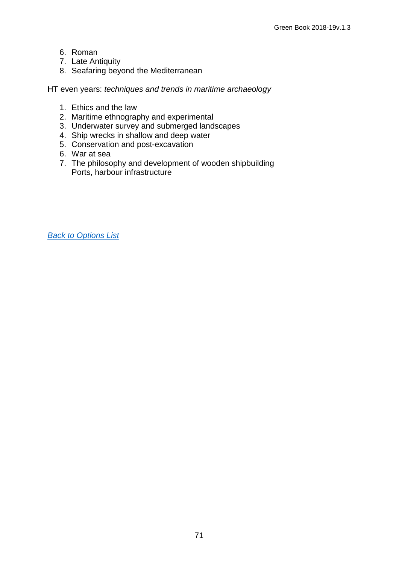- 6. Roman
- 7. Late Antiquity
- 8. Seafaring beyond the Mediterranean

HT even years: *techniques and trends in maritime archaeology*

- 1. Ethics and the law
- 2. Maritime ethnography and experimental
- 3. Underwater survey and submerged landscapes
- 4. Ship wrecks in shallow and deep water
- 5. Conservation and post-excavation
- 6. War at sea
- 7. The philosophy and development of wooden shipbuilding Ports, harbour infrastructure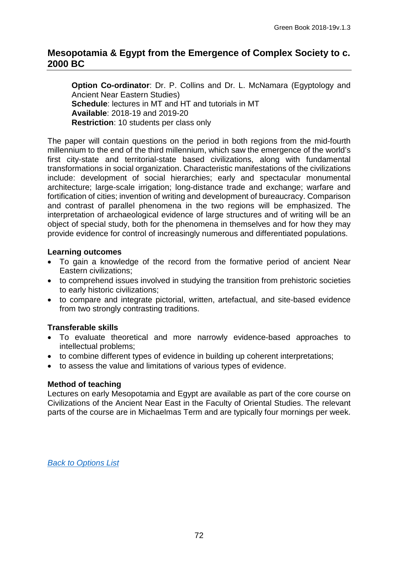## <span id="page-71-0"></span>**Mesopotamia & Egypt from the Emergence of Complex Society to c. 2000 BC**

**Option Co-ordinator**: Dr. P. Collins and Dr. L. McNamara (Egyptology and Ancient Near Eastern Studies) **Schedule**: lectures in MT and HT and tutorials in MT **Available**: 2018-19 and 2019-20 **Restriction**: 10 students per class only

The paper will contain questions on the period in both regions from the mid-fourth millennium to the end of the third millennium, which saw the emergence of the world's first city-state and territorial-state based civilizations, along with fundamental transformations in social organization. Characteristic manifestations of the civilizations include: development of social hierarchies; early and spectacular monumental architecture; large-scale irrigation; long-distance trade and exchange; warfare and fortification of cities; invention of writing and development of bureaucracy. Comparison and contrast of parallel phenomena in the two regions will be emphasized. The interpretation of archaeological evidence of large structures and of writing will be an object of special study, both for the phenomena in themselves and for how they may provide evidence for control of increasingly numerous and differentiated populations.

## **Learning outcomes**

- To gain a knowledge of the record from the formative period of ancient Near Eastern civilizations;
- to comprehend issues involved in studying the transition from prehistoric societies to early historic civilizations;
- to compare and integrate pictorial, written, artefactual, and site-based evidence from two strongly contrasting traditions.

## **Transferable skills**

- To evaluate theoretical and more narrowly evidence-based approaches to intellectual problems;
- to combine different types of evidence in building up coherent interpretations;
- to assess the value and limitations of various types of evidence.

## **Method of teaching**

Lectures on early Mesopotamia and Egypt are available as part of the core course on Civilizations of the Ancient Near East in the Faculty of Oriental Studies. The relevant parts of the course are in Michaelmas Term and are typically four mornings per week.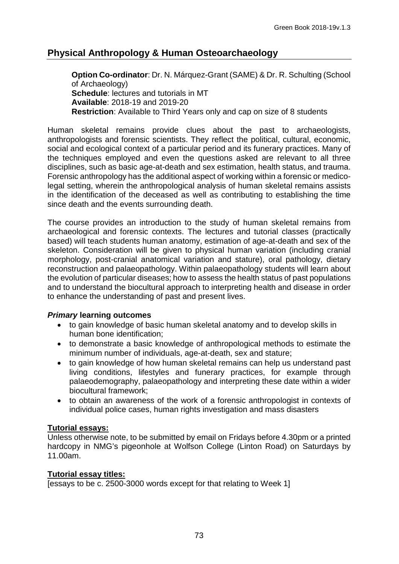# **Physical Anthropology & Human Osteoarchaeology**

**Option Co-ordinator**: Dr. N. Márquez-Grant (SAME) & Dr. R. Schulting (School of Archaeology) **Schedule**: lectures and tutorials in MT **Available**: 2018-19 and 2019-20 **Restriction**: Available to Third Years only and cap on size of 8 students

Human skeletal remains provide clues about the past to archaeologists, anthropologists and forensic scientists. They reflect the political, cultural, economic, social and ecological context of a particular period and its funerary practices. Many of the techniques employed and even the questions asked are relevant to all three disciplines, such as basic age-at-death and sex estimation, health status, and trauma. Forensic anthropology has the additional aspect of working within a forensic or medicolegal setting, wherein the anthropological analysis of human skeletal remains assists in the identification of the deceased as well as contributing to establishing the time since death and the events surrounding death.

The course provides an introduction to the study of human skeletal remains from archaeological and forensic contexts. The lectures and tutorial classes (practically based) will teach students human anatomy, estimation of age-at-death and sex of the skeleton. Consideration will be given to physical human variation (including cranial morphology, post-cranial anatomical variation and stature), oral pathology, dietary reconstruction and palaeopathology. Within palaeopathology students will learn about the evolution of particular diseases; how to assess the health status of past populations and to understand the biocultural approach to interpreting health and disease in order to enhance the understanding of past and present lives.

## *Primary* **learning outcomes**

- to gain knowledge of basic human skeletal anatomy and to develop skills in human bone identification;
- to demonstrate a basic knowledge of anthropological methods to estimate the minimum number of individuals, age-at-death, sex and stature;
- to gain knowledge of how human skeletal remains can help us understand past living conditions, lifestyles and funerary practices, for example through palaeodemography, palaeopathology and interpreting these date within a wider biocultural framework;
- to obtain an awareness of the work of a forensic anthropologist in contexts of individual police cases, human rights investigation and mass disasters

## **Tutorial essays:**

Unless otherwise note, to be submitted by email on Fridays before 4.30pm or a printed hardcopy in NMG's pigeonhole at Wolfson College (Linton Road) on Saturdays by 11.00am.

## **Tutorial essay titles:**

[essays to be c. 2500-3000 words except for that relating to Week 1]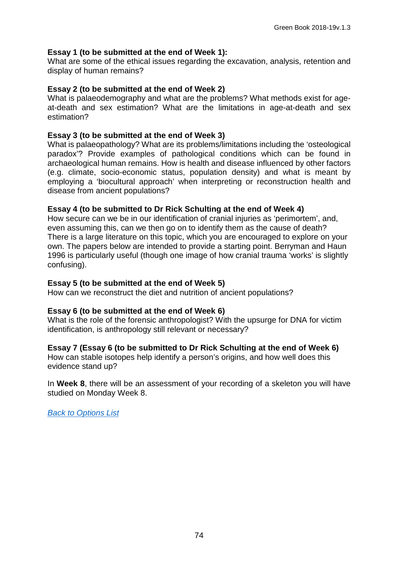#### **Essay 1 (to be submitted at the end of Week 1):**

What are some of the ethical issues regarding the excavation, analysis, retention and display of human remains?

#### **Essay 2 (to be submitted at the end of Week 2)**

What is palaeodemography and what are the problems? What methods exist for ageat-death and sex estimation? What are the limitations in age-at-death and sex estimation?

#### **Essay 3 (to be submitted at the end of Week 3)**

What is palaeopathology? What are its problems/limitations including the 'osteological paradox'? Provide examples of pathological conditions which can be found in archaeological human remains. How is health and disease influenced by other factors (e.g. climate, socio-economic status, population density) and what is meant by employing a 'biocultural approach' when interpreting or reconstruction health and disease from ancient populations?

#### **Essay 4 (to be submitted to Dr Rick Schulting at the end of Week 4)**

How secure can we be in our identification of cranial injuries as 'perimortem', and, even assuming this, can we then go on to identify them as the cause of death? There is a large literature on this topic, which you are encouraged to explore on your own. The papers below are intended to provide a starting point. Berryman and Haun 1996 is particularly useful (though one image of how cranial trauma 'works' is slightly confusing).

#### **Essay 5 (to be submitted at the end of Week 5)**

How can we reconstruct the diet and nutrition of ancient populations?

#### **Essay 6 (to be submitted at the end of Week 6)**

What is the role of the forensic anthropologist? With the upsurge for DNA for victim identification, is anthropology still relevant or necessary?

#### **Essay 7 (Essay 6 (to be submitted to Dr Rick Schulting at the end of Week 6)**

How can stable isotopes help identify a person's origins, and how well does this evidence stand up?

In **Week 8**, there will be an assessment of your recording of a skeleton you will have studied on Monday Week 8.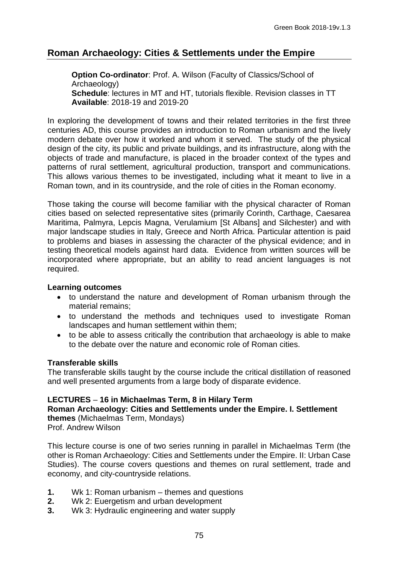# **Roman Archaeology: Cities & Settlements under the Empire**

**Option Co-ordinator**: Prof. A. Wilson (Faculty of Classics/School of Archaeology) **Schedule**: lectures in MT and HT, tutorials flexible. Revision classes in TT **Available**: 2018-19 and 2019-20

In exploring the development of towns and their related territories in the first three centuries AD, this course provides an introduction to Roman urbanism and the lively modern debate over how it worked and whom it served. The study of the physical design of the city, its public and private buildings, and its infrastructure, along with the objects of trade and manufacture, is placed in the broader context of the types and patterns of rural settlement, agricultural production, transport and communications. This allows various themes to be investigated, including what it meant to live in a Roman town, and in its countryside, and the role of cities in the Roman economy.

Those taking the course will become familiar with the physical character of Roman cities based on selected representative sites (primarily Corinth, Carthage, Caesarea Maritima, Palmyra, Lepcis Magna, Verulamium [St Albans] and Silchester) and with major landscape studies in Italy, Greece and North Africa. Particular attention is paid to problems and biases in assessing the character of the physical evidence; and in testing theoretical models against hard data. Evidence from written sources will be incorporated where appropriate, but an ability to read ancient languages is not required.

#### **Learning outcomes**

- to understand the nature and development of Roman urbanism through the material remains;
- to understand the methods and techniques used to investigate Roman landscapes and human settlement within them;
- to be able to assess critically the contribution that archaeology is able to make to the debate over the nature and economic role of Roman cities.

## **Transferable skills**

The transferable skills taught by the course include the critical distillation of reasoned and well presented arguments from a large body of disparate evidence.

## **LECTURES** – **16 in Michaelmas Term, 8 in Hilary Term**

**Roman Archaeology: Cities and Settlements under the Empire. I. Settlement themes** (Michaelmas Term, Mondays)

Prof. Andrew Wilson

This lecture course is one of two series running in parallel in Michaelmas Term (the other is Roman Archaeology: Cities and Settlements under the Empire. II: Urban Case Studies). The course covers questions and themes on rural settlement, trade and economy, and city-countryside relations.

- **1.** Wk 1: Roman urbanism themes and questions
- **2.** Wk 2: Euergetism and urban development<br>**3.** Wk 3: Hydraulic engineering and water sur
- **3.** Wk 3: Hydraulic engineering and water supply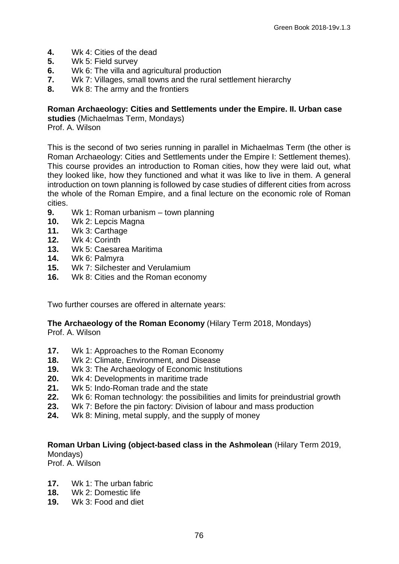- **4.** Wk 4: Cities of the dead
- **5.** Wk 5: Field survey
- **6.** Wk 6: The villa and agricultural production
- **7.** Wk 7: Villages, small towns and the rural settlement hierarchy
- **8.** Wk 8: The army and the frontiers

#### **Roman Archaeology: Cities and Settlements under the Empire. II. Urban case**

**studies** (Michaelmas Term, Mondays) Prof. A. Wilson

This is the second of two series running in parallel in Michaelmas Term (the other is Roman Archaeology: Cities and Settlements under the Empire I: Settlement themes). This course provides an introduction to Roman cities, how they were laid out, what they looked like, how they functioned and what it was like to live in them. A general introduction on town planning is followed by case studies of different cities from across the whole of the Roman Empire, and a final lecture on the economic role of Roman cities.

- **9.** Wk 1: Roman urbanism town planning<br>**10.** Wk 2: Lepcis Magna
- **10.** Wk 2: Lepcis Magna
- **11.** Wk 3: Carthage
- **12.** Wk 4: Corinth
- **13.** Wk 5: Caesarea Maritima
- **14.** Wk 6: Palmyra
- **15.** Wk 7: Silchester and Verulamium<br>**16.** Wk 8: Cities and the Roman econe
- **16.** Wk 8: Cities and the Roman economy

Two further courses are offered in alternate years:

#### **The Archaeology of the Roman Economy** (Hilary Term 2018, Mondays) Prof. A. Wilson

- 17. Wk 1: Approaches to the Roman Economy<br>**18.** Wk 2: Climate, Environment, and Disease
- **18.** Wk 2: Climate, Environment, and Disease
- **19.** Wk 3: The Archaeology of Economic Institutions
- 
- **20.** Wk 4: Developments in maritime trade **21.** Wk 5: Indo-Roman trade and the state
- **22.** Wk 6: Roman technology: the possibilities and limits for preindustrial growth
- **23.** Wk 7: Before the pin factory: Division of labour and mass production **24.** Wk 8: Mining, metal supply, and the supply of money
- **24.** Wk 8: Mining, metal supply, and the supply of money

#### **Roman Urban Living (object-based class in the Ashmolean** (Hilary Term 2019, Mondays)

Prof. A. Wilson

- **17.** Wk 1: The urban fabric<br>**18.** Wk 2: Domestic life
- **18.** Wk 2: Domestic life
- **19.** Wk 3: Food and diet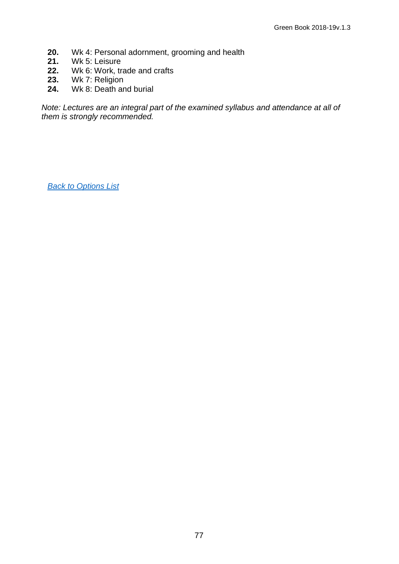- **20.** Wk 4: Personal adornment, grooming and health
- **21.** Wk 5: Leisure<br>**22.** Wk 6: Work, tr
- **22.** Wk 6: Work, trade and crafts
- **23.** Wk 7: Religion
- **24.** Wk 8: Death and burial

*Note: Lectures are an integral part of the examined syllabus and attendance at all of them is strongly recommended.*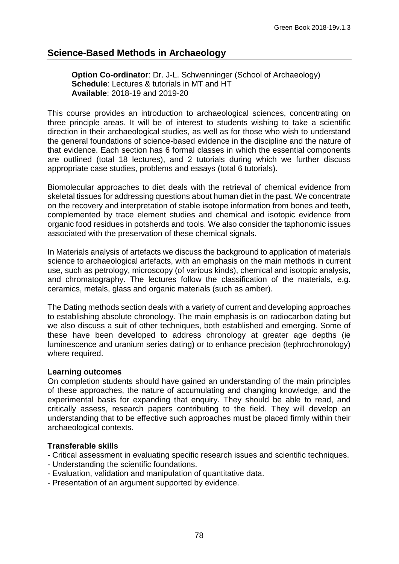# **Science-Based Methods in Archaeology**

**Option Co-ordinator: Dr. J-L. Schwenninger (School of Archaeology) Schedule**: Lectures & tutorials in MT and HT **Available**: 2018-19 and 2019-20

This course provides an introduction to archaeological sciences, concentrating on three principle areas. It will be of interest to students wishing to take a scientific direction in their archaeological studies, as well as for those who wish to understand the general foundations of science-based evidence in the discipline and the nature of that evidence. Each section has 6 formal classes in which the essential components are outlined (total 18 lectures), and 2 tutorials during which we further discuss appropriate case studies, problems and essays (total 6 tutorials).

Biomolecular approaches to diet deals with the retrieval of chemical evidence from skeletal tissues for addressing questions about human diet in the past. We concentrate on the recovery and interpretation of stable isotope information from bones and teeth, complemented by trace element studies and chemical and isotopic evidence from organic food residues in potsherds and tools. We also consider the taphonomic issues associated with the preservation of these chemical signals.

In Materials analysis of artefacts we discuss the background to application of materials science to archaeological artefacts, with an emphasis on the main methods in current use, such as petrology, microscopy (of various kinds), chemical and isotopic analysis, and chromatography. The lectures follow the classification of the materials, e.g. ceramics, metals, glass and organic materials (such as amber).

The Dating methods section deals with a variety of current and developing approaches to establishing absolute chronology. The main emphasis is on radiocarbon dating but we also discuss a suit of other techniques, both established and emerging. Some of these have been developed to address chronology at greater age depths (ie luminescence and uranium series dating) or to enhance precision (tephrochronology) where required.

#### **Learning outcomes**

On completion students should have gained an understanding of the main principles of these approaches, the nature of accumulating and changing knowledge, and the experimental basis for expanding that enquiry. They should be able to read, and critically assess, research papers contributing to the field. They will develop an understanding that to be effective such approaches must be placed firmly within their archaeological contexts.

#### **Transferable skills**

- Critical assessment in evaluating specific research issues and scientific techniques.
- Understanding the scientific foundations.
- Evaluation, validation and manipulation of quantitative data.
- Presentation of an argument supported by evidence.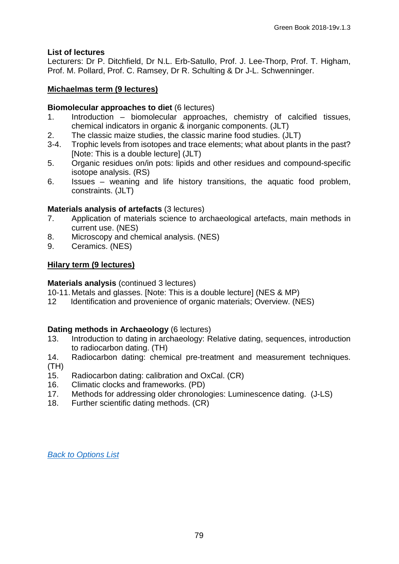## **List of lectures**

Lecturers: Dr P. Ditchfield, Dr N.L. Erb-Satullo, Prof. J. Lee-Thorp, Prof. T. Higham, Prof. M. Pollard, Prof. C. Ramsey, Dr R. Schulting & Dr J-L. Schwenninger.

#### **Michaelmas term (9 lectures)**

# **Biomolecular approaches to diet (6 lectures)**<br>1. Introduction – biomolecular approach

- Introduction biomolecular approaches, chemistry of calcified tissues, chemical indicators in organic & inorganic components. (JLT)
- 2. The classic maize studies, the classic marine food studies. (JLT)<br>3-4. Trophic levels from isotopes and trace elements: what about plant
- Trophic levels from isotopes and trace elements; what about plants in the past? [Note: This is a double lecture] (JLT)
- 5. Organic residues on/in pots: lipids and other residues and compound-specific isotope analysis. (RS)
- 6. Issues weaning and life history transitions, the aquatic food problem, constraints. (JLT)

## **Materials analysis of artefacts** (3 lectures)

- 7. Application of materials science to archaeological artefacts, main methods in current use. (NES)
- 8. Microscopy and chemical analysis. (NES)<br>9. Ceramics. (NES)
- 9. Ceramics. (NES)

## **Hilary term (9 lectures)**

#### **Materials analysis** (continued 3 lectures)

- 10-11. Metals and glasses. [Note: This is a double lecture] (NES & MP)
- 12 Identification and provenience of organic materials; Overview. (NES)

#### **Dating methods in Archaeology** (6 lectures)

- 13. Introduction to dating in archaeology: Relative dating, sequences, introduction to radiocarbon dating. (TH)
- 14. Radiocarbon dating: chemical pre-treatment and measurement techniques. (TH)
- 15. Radiocarbon dating: calibration and OxCal. (CR)
- 16. Climatic clocks and frameworks. (PD)<br>17. Methods for addressing older chronold
- Methods for addressing older chronologies: Luminescence dating. (J-LS)
- 18. Further scientific dating methods. (CR)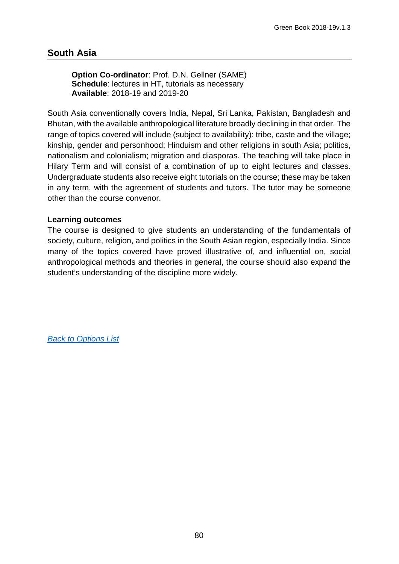# **South Asia**

**Option Co-ordinator**: Prof. D.N. Gellner (SAME) **Schedule**: lectures in HT, tutorials as necessary **Available**: 2018-19 and 2019-20

South Asia conventionally covers India, Nepal, Sri Lanka, Pakistan, Bangladesh and Bhutan, with the available anthropological literature broadly declining in that order. The range of topics covered will include (subject to availability): tribe, caste and the village; kinship, gender and personhood; Hinduism and other religions in south Asia; politics, nationalism and colonialism; migration and diasporas. The teaching will take place in Hilary Term and will consist of a combination of up to eight lectures and classes. Undergraduate students also receive eight tutorials on the course; these may be taken in any term, with the agreement of students and tutors. The tutor may be someone other than the course convenor.

#### **Learning outcomes**

The course is designed to give students an understanding of the fundamentals of society, culture, religion, and politics in the South Asian region, especially India. Since many of the topics covered have proved illustrative of, and influential on, social anthropological methods and theories in general, the course should also expand the student's understanding of the discipline more widely.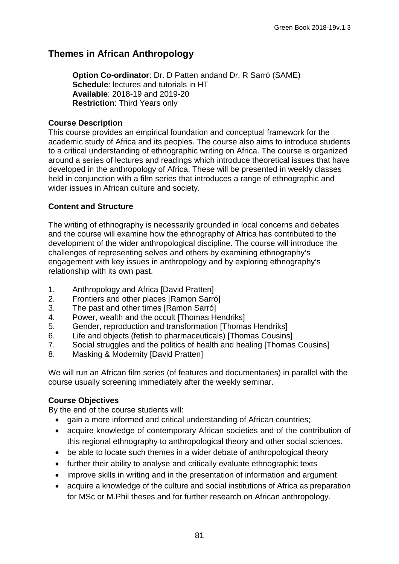# **Themes in African Anthropology**

**Option Co-ordinator**: Dr. D Patten andand Dr. R Sarró (SAME) **Schedule**: lectures and tutorials in HT **Available**: 2018-19 and 2019-20 **Restriction**: Third Years only

#### **Course Description**

This course provides an empirical foundation and conceptual framework for the academic study of Africa and its peoples. The course also aims to introduce students to a critical understanding of ethnographic writing on Africa. The course is organized around a series of lectures and readings which introduce theoretical issues that have developed in the anthropology of Africa. These will be presented in weekly classes held in conjunction with a film series that introduces a range of ethnographic and wider issues in African culture and society.

## **Content and Structure**

The writing of ethnography is necessarily grounded in local concerns and debates and the course will examine how the ethnography of Africa has contributed to the development of the wider anthropological discipline. The course will introduce the challenges of representing selves and others by examining ethnography's engagement with key issues in anthropology and by exploring ethnography's relationship with its own past.

- 1. Anthropology and Africa [David Pratten]<br>2. Frontiers and other places [Ramon Sarro]
- Frontiers and other places [Ramon Sarró]
- 3. The past and other times [Ramon Sarró]
- 4. Power, wealth and the occult [Thomas Hendriks]
- 5. Gender, reproduction and transformation [Thomas Hendriks]<br>6. Life and objects (fetish to pharmaceuticals) [Thomas Cousins
- Life and objects (fetish to pharmaceuticals) [Thomas Cousins]
- 7. Social struggles and the politics of health and healing [Thomas Cousins]
- 8. Masking & Modernity [David Pratten]

We will run an African film series (of features and documentaries) in parallel with the course usually screening immediately after the weekly seminar.

#### **Course Objectives**

By the end of the course students will:

- gain a more informed and critical understanding of African countries;
- acquire knowledge of contemporary African societies and of the contribution of this regional ethnography to anthropological theory and other social sciences.
- be able to locate such themes in a wider debate of anthropological theory
- further their ability to analyse and critically evaluate ethnographic texts
- improve skills in writing and in the presentation of information and argument
- acquire a knowledge of the culture and social institutions of Africa as preparation for MSc or M.Phil theses and for further research on African anthropology.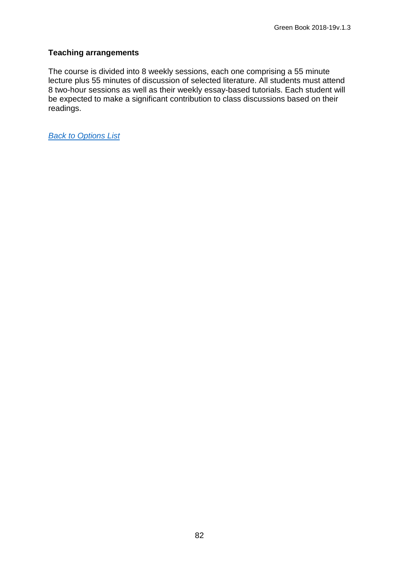## **Teaching arrangements**

The course is divided into 8 weekly sessions, each one comprising a 55 minute lecture plus 55 minutes of discussion of selected literature. All students must attend 8 two-hour sessions as well as their weekly essay-based tutorials. Each student will be expected to make a significant contribution to class discussions based on their readings.